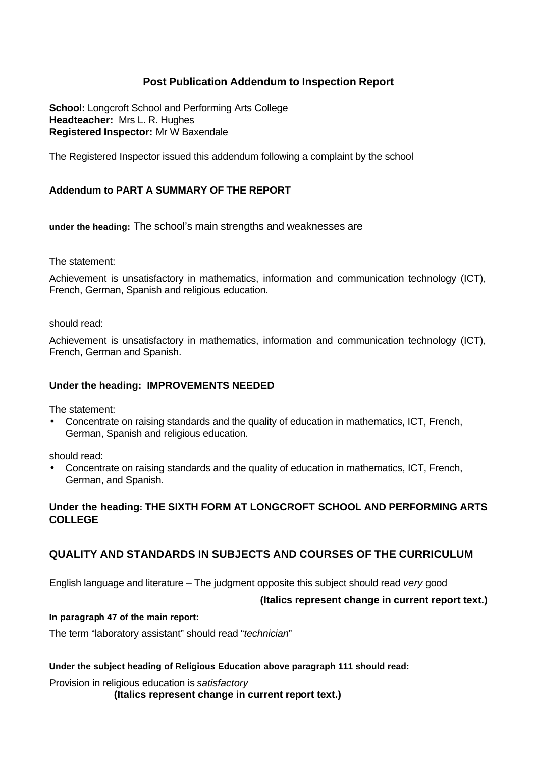# **Post Publication Addendum to Inspection Report**

**School:** Longcroft School and Performing Arts College **Headteacher:** Mrs L. R. Hughes **Registered Inspector:** Mr W Baxendale

The Registered Inspector issued this addendum following a complaint by the school

### **Addendum to PART A SUMMARY OF THE REPORT**

**under the heading:** The school's main strengths and weaknesses are

The statement:

Achievement is unsatisfactory in mathematics, information and communication technology (ICT), French, German, Spanish and religious education.

should read:

Achievement is unsatisfactory in mathematics, information and communication technology (ICT), French, German and Spanish.

#### **Under the heading: IMPROVEMENTS NEEDED**

The statement:

• Concentrate on raising standards and the quality of education in mathematics, ICT, French, German, Spanish and religious education.

should read:

• Concentrate on raising standards and the quality of education in mathematics, ICT, French, German, and Spanish.

#### **Under the heading: THE SIXTH FORM AT LONGCROFT SCHOOL AND PERFORMING ARTS COLLEGE**

# **QUALITY AND STANDARDS IN SUBJECTS AND COURSES OF THE CURRICULUM**

English language and literature – The judgment opposite this subject should read *very* good

#### **(Italics represent change in current report text.)**

#### **In paragraph 47 of the main report:**

The term "laboratory assistant" should read "*technician*"

#### **Under the subject heading of Religious Education above paragraph 111 should read:**

Provision in religious education is *satisfactory* **(Italics represent change in current report text.)**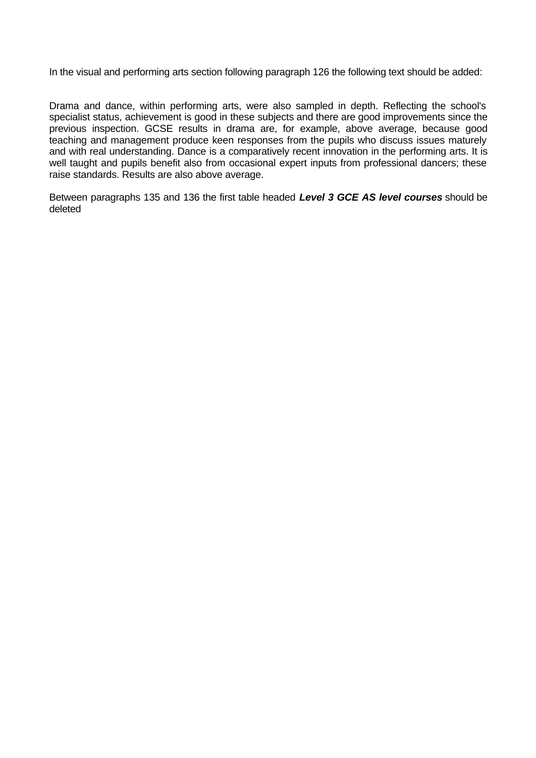In the visual and performing arts section following paragraph 126 the following text should be added:

Drama and dance, within performing arts, were also sampled in depth. Reflecting the school's specialist status, achievement is good in these subjects and there are good improvements since the previous inspection. GCSE results in drama are, for example, above average, because good teaching and management produce keen responses from the pupils who discuss issues maturely and with real understanding. Dance is a comparatively recent innovation in the performing arts. It is well taught and pupils benefit also from occasional expert inputs from professional dancers; these raise standards. Results are also above average.

Between paragraphs 135 and 136 the first table headed *Level 3 GCE AS level courses* should be deleted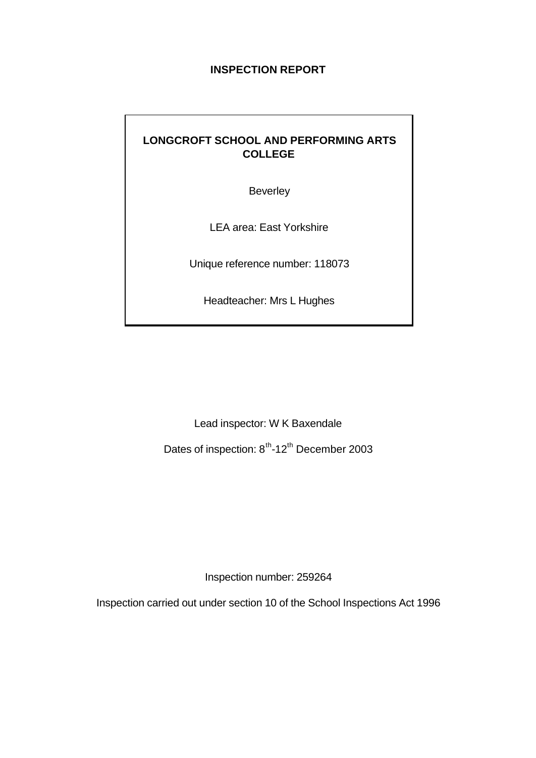# **INSPECTION REPORT**

# **LONGCROFT SCHOOL AND PERFORMING ARTS COLLEGE**

Beverley

LEA area: East Yorkshire

Unique reference number: 118073

Headteacher: Mrs L Hughes

Lead inspector: W K Baxendale

Dates of inspection: 8<sup>th</sup>-12<sup>th</sup> December 2003

Inspection number: 259264

Inspection carried out under section 10 of the School Inspections Act 1996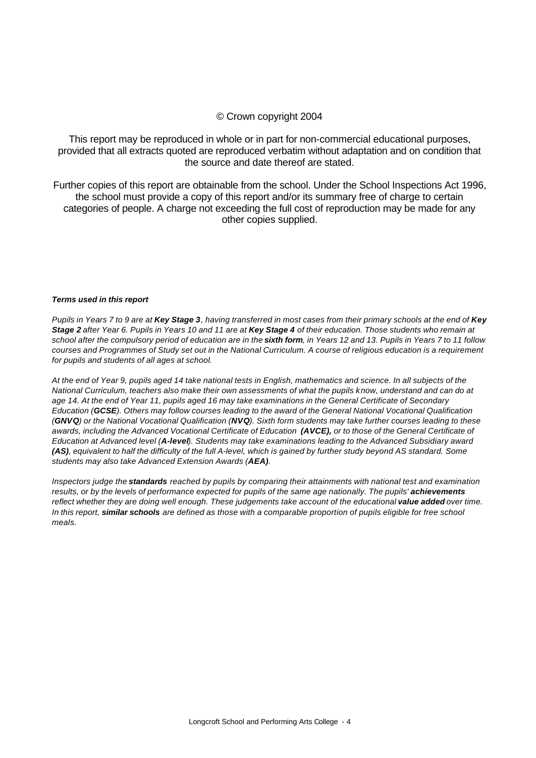#### © Crown copyright 2004

This report may be reproduced in whole or in part for non-commercial educational purposes, provided that all extracts quoted are reproduced verbatim without adaptation and on condition that the source and date thereof are stated.

Further copies of this report are obtainable from the school. Under the School Inspections Act 1996, the school must provide a copy of this report and/or its summary free of charge to certain categories of people. A charge not exceeding the full cost of reproduction may be made for any other copies supplied.

#### *Terms used in this report*

*Pupils in Years 7 to 9 are at Key Stage 3, having transferred in most cases from their primary schools at the end of Key Stage 2 after Year 6. Pupils in Years 10 and 11 are at Key Stage 4 of their education. Those students who remain at school after the compulsory period of education are in the sixth form, in Years 12 and 13. Pupils in Years 7 to 11 follow courses and Programmes of Study set out in the National Curriculum. A course of religious education is a requirement for pupils and students of all ages at school.*

*At the end of Year 9, pupils aged 14 take national tests in English, mathematics and science. In all subjects of the National Curriculum, teachers also make their own assessments of what the pupils know, understand and can do at age 14. At the end of Year 11, pupils aged 16 may take examinations in the General Certificate of Secondary Education (GCSE). Others may follow courses leading to the award of the General National Vocational Qualification (GNVQ) or the National Vocational Qualification (NVQ). Sixth form students may take further courses leading to these awards, including the Advanced Vocational Certificate of Education (AVCE), or to those of the General Certificate of Education at Advanced level (A-level). Students may take examinations leading to the Advanced Subsidiary award (AS), equivalent to half the difficulty of the full A-level, which is gained by further study beyond AS standard. Some students may also take Advanced Extension Awards (AEA).* 

*Inspectors judge the standards reached by pupils by comparing their attainments with national test and examination*  results, or by the levels of performance expected for pupils of the same age nationally. The pupils' **achievements** *reflect whether they are doing well enough. These judgements take account of the educational value added over time. In this report, similar schools are defined as those with a comparable proportion of pupils eligible for free school meals.*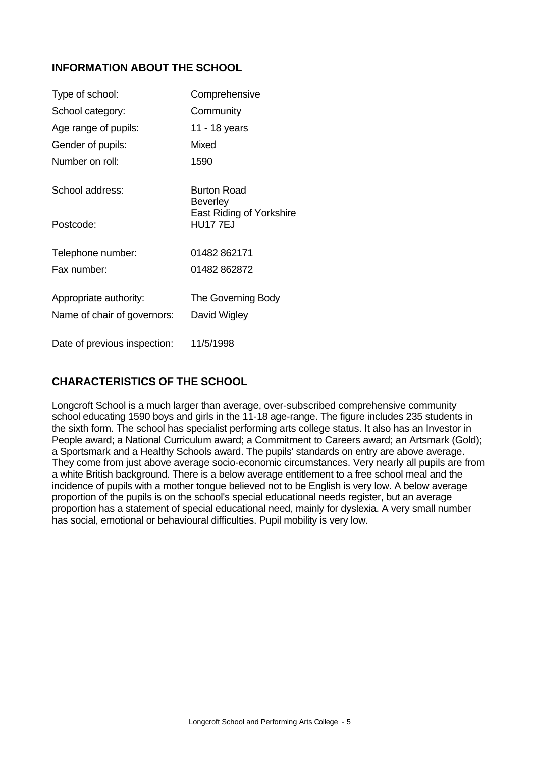# **INFORMATION ABOUT THE SCHOOL**

| Type of school:              | Comprehensive                                     |
|------------------------------|---------------------------------------------------|
| School category:             | Community                                         |
| Age range of pupils:         | 11 - 18 years                                     |
| Gender of pupils:            | Mixed                                             |
| Number on roll:              | 1590                                              |
| School address:              | <b>Burton Road</b><br><b>Beverley</b>             |
| Postcode:                    | <b>East Riding of Yorkshire</b><br><b>HU177EJ</b> |
| Telephone number:            | 01482 862171                                      |
| Fax number:                  | 01482 862872                                      |
| Appropriate authority:       | The Governing Body                                |
| Name of chair of governors:  | David Wigley                                      |
| Date of previous inspection: | 11/5/1998                                         |

# **CHARACTERISTICS OF THE SCHOOL**

Longcroft School is a much larger than average, over-subscribed comprehensive community school educating 1590 boys and girls in the 11-18 age-range. The figure includes 235 students in the sixth form. The school has specialist performing arts college status. It also has an Investor in People award; a National Curriculum award; a Commitment to Careers award; an Artsmark (Gold); a Sportsmark and a Healthy Schools award. The pupils' standards on entry are above average. They come from just above average socio-economic circumstances. Very nearly all pupils are from a white British background. There is a below average entitlement to a free school meal and the incidence of pupils with a mother tongue believed not to be English is very low. A below average proportion of the pupils is on the school's special educational needs register, but an average proportion has a statement of special educational need, mainly for dyslexia. A very small number has social, emotional or behavioural difficulties. Pupil mobility is very low.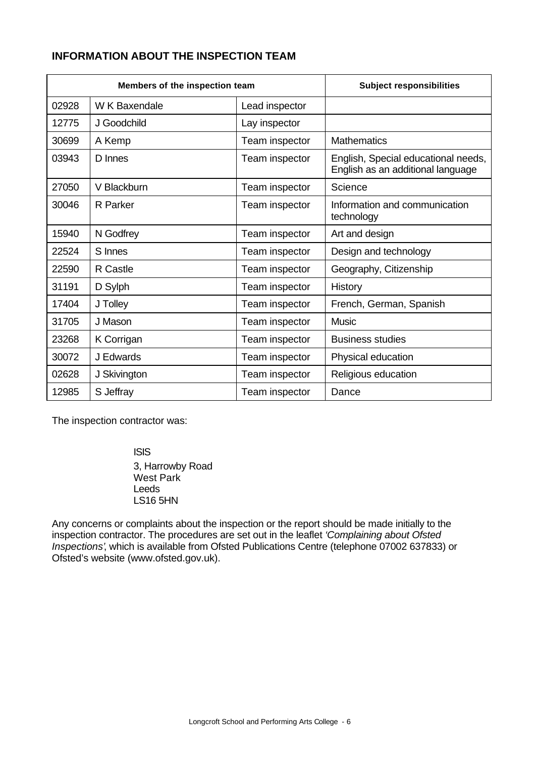# **INFORMATION ABOUT THE INSPECTION TEAM**

| Members of the inspection team |                 | <b>Subject responsibilities</b> |                                                                          |
|--------------------------------|-----------------|---------------------------------|--------------------------------------------------------------------------|
| 02928                          | W K Baxendale   | Lead inspector                  |                                                                          |
| 12775                          | J Goodchild     | Lay inspector                   |                                                                          |
| 30699                          | A Kemp          | Team inspector                  | <b>Mathematics</b>                                                       |
| 03943                          | D Innes         | Team inspector                  | English, Special educational needs,<br>English as an additional language |
| 27050                          | V Blackburn     | Team inspector                  | Science                                                                  |
| 30046                          | R Parker        | Team inspector                  | Information and communication<br>technology                              |
| 15940                          | N Godfrey       | Team inspector                  | Art and design                                                           |
| 22524                          | S Innes         | Team inspector                  | Design and technology                                                    |
| 22590                          | <b>R</b> Castle | Team inspector                  | Geography, Citizenship                                                   |
| 31191                          | D Sylph         | Team inspector                  | History                                                                  |
| 17404                          | J Tolley        | Team inspector                  | French, German, Spanish                                                  |
| 31705                          | J Mason         | Team inspector                  | <b>Music</b>                                                             |
| 23268                          | K Corrigan      | Team inspector                  | <b>Business studies</b>                                                  |
| 30072                          | J Edwards       | Team inspector                  | Physical education                                                       |
| 02628                          | J Skivington    | Team inspector                  | Religious education                                                      |
| 12985                          | S Jeffray       | Team inspector                  | Dance                                                                    |

The inspection contractor was:

ISIS 3, Harrowby Road West Park Leeds LS16 5HN

Any concerns or complaints about the inspection or the report should be made initially to the inspection contractor. The procedures are set out in the leaflet *'Complaining about Ofsted Inspections'*, which is available from Ofsted Publications Centre (telephone 07002 637833) or Ofsted's website (www.ofsted.gov.uk).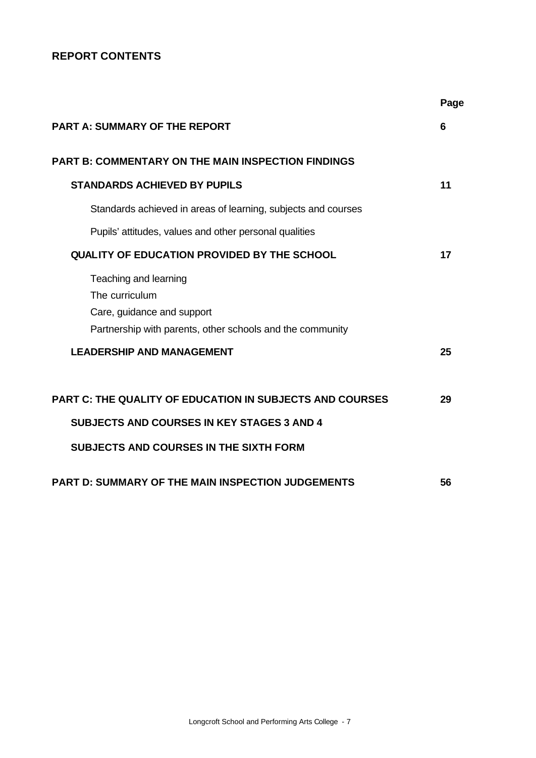# **REPORT CONTENTS**

|                                                                                                                                                                       | Page |
|-----------------------------------------------------------------------------------------------------------------------------------------------------------------------|------|
| <b>PART A: SUMMARY OF THE REPORT</b>                                                                                                                                  | 6    |
| <b>PART B: COMMENTARY ON THE MAIN INSPECTION FINDINGS</b>                                                                                                             |      |
| <b>STANDARDS ACHIEVED BY PUPILS</b>                                                                                                                                   | 11   |
| Standards achieved in areas of learning, subjects and courses                                                                                                         |      |
| Pupils' attitudes, values and other personal qualities                                                                                                                |      |
| <b>QUALITY OF EDUCATION PROVIDED BY THE SCHOOL</b>                                                                                                                    | 17   |
| Teaching and learning<br>The curriculum<br>Care, guidance and support<br>Partnership with parents, other schools and the community                                    |      |
| <b>LEADERSHIP AND MANAGEMENT</b>                                                                                                                                      | 25   |
| <b>PART C: THE QUALITY OF EDUCATION IN SUBJECTS AND COURSES</b><br><b>SUBJECTS AND COURSES IN KEY STAGES 3 AND 4</b><br><b>SUBJECTS AND COURSES IN THE SIXTH FORM</b> | 29   |
| <b>PART D: SUMMARY OF THE MAIN INSPECTION JUDGEMENTS</b>                                                                                                              | 56   |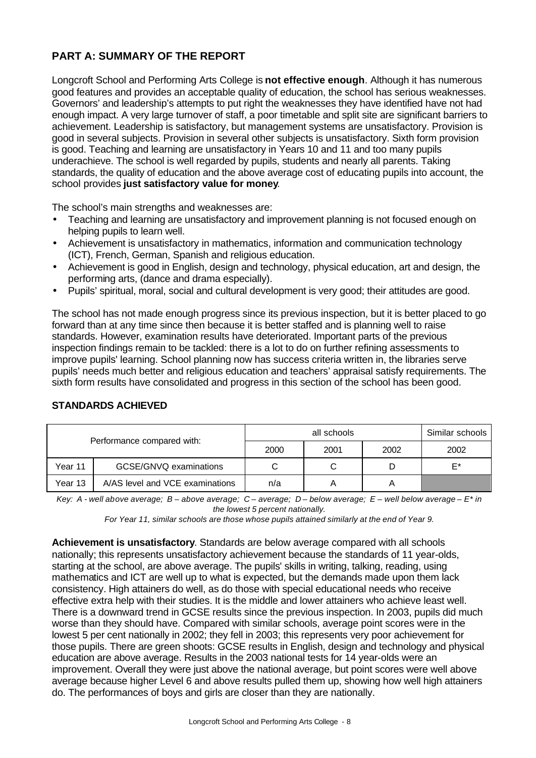# **PART A: SUMMARY OF THE REPORT**

Longcroft School and Performing Arts College is **not effective enough**. Although it has numerous good features and provides an acceptable quality of education, the school has serious weaknesses. Governors' and leadership's attempts to put right the weaknesses they have identified have not had enough impact. A very large turnover of staff, a poor timetable and split site are significant barriers to achievement. Leadership is satisfactory, but management systems are unsatisfactory. Provision is good in several subjects. Provision in several other subjects is unsatisfactory. Sixth form provision is good. Teaching and learning are unsatisfactory in Years 10 and 11 and too many pupils underachieve. The school is well regarded by pupils, students and nearly all parents. Taking standards, the quality of education and the above average cost of educating pupils into account, the school provides **just satisfactory value for money**.

The school's main strengths and weaknesses are:

- Teaching and learning are unsatisfactory and improvement planning is not focused enough on helping pupils to learn well.
- Achievement is unsatisfactory in mathematics, information and communication technology (ICT), French, German, Spanish and religious education.
- Achievement is good in English, design and technology, physical education, art and design, the performing arts, (dance and drama especially).
- Pupils' spiritual, moral, social and cultural development is very good; their attitudes are good.

The school has not made enough progress since its previous inspection, but it is better placed to go forward than at any time since then because it is better staffed and is planning well to raise standards. However, examination results have deteriorated. Important parts of the previous inspection findings remain to be tackled: there is a lot to do on further refining assessments to improve pupils' learning. School planning now has success criteria written in, the libraries serve pupils' needs much better and religious education and teachers' appraisal satisfy requirements. The sixth form results have consolidated and progress in this section of the school has been good.

|         |                                 |      | Similar schools |    |
|---------|---------------------------------|------|-----------------|----|
|         | Performance compared with:      | 2000 | 2002            |    |
| Year 11 | GCSE/GNVQ examinations          |      | D               | E* |
| Year 13 | A/AS level and VCE examinations | n/a  |                 |    |

#### **STANDARDS ACHIEVED**

*Key: A - well above average; B – above average; C – average; D – below average; E – well below average – E\* in the lowest 5 percent nationally.*

*For Year 11, similar schools are those whose pupils attained similarly at the end of Year 9.*

**Achievement is unsatisfactory**. Standards are below average compared with all schools nationally; this represents unsatisfactory achievement because the standards of 11 year-olds, starting at the school, are above average. The pupils' skills in writing, talking, reading, using mathematics and ICT are well up to what is expected, but the demands made upon them lack consistency. High attainers do well, as do those with special educational needs who receive effective extra help with their studies. It is the middle and lower attainers who achieve least well. There is a downward trend in GCSE results since the previous inspection. In 2003, pupils did much worse than they should have. Compared with similar schools, average point scores were in the lowest 5 per cent nationally in 2002; they fell in 2003; this represents very poor achievement for those pupils. There are green shoots: GCSE results in English, design and technology and physical education are above average. Results in the 2003 national tests for 14 year-olds were an improvement. Overall they were just above the national average, but point scores were well above average because higher Level 6 and above results pulled them up, showing how well high attainers do. The performances of boys and girls are closer than they are nationally.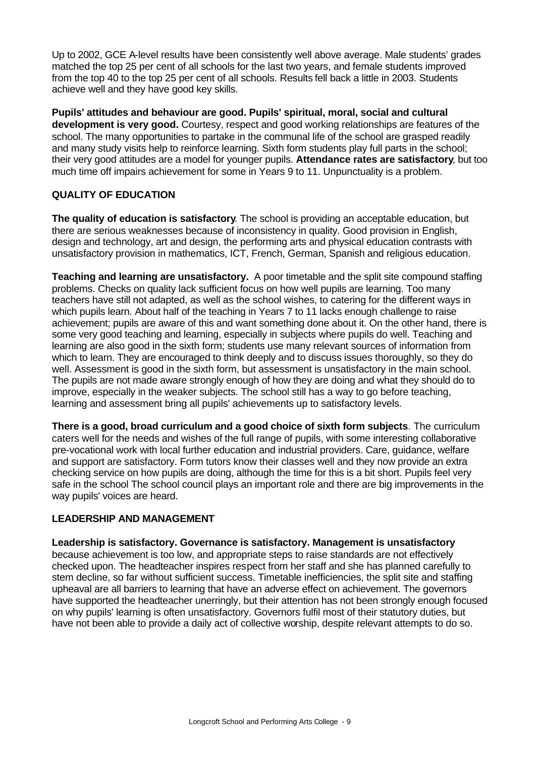Up to 2002, GCE A-level results have been consistently well above average. Male students' grades matched the top 25 per cent of all schools for the last two years, and female students improved from the top 40 to the top 25 per cent of all schools. Results fell back a little in 2003. Students achieve well and they have good key skills.

**Pupils' attitudes and behaviour are good. Pupils' spiritual, moral, social and cultural development is very good.** Courtesy, respect and good working relationships are features of the school. The many opportunities to partake in the communal life of the school are grasped readily and many study visits help to reinforce learning. Sixth form students play full parts in the school; their very good attitudes are a model for younger pupils. **Attendance rates are satisfactory**, but too much time off impairs achievement for some in Years 9 to 11. Unpunctuality is a problem.

# **QUALITY OF EDUCATION**

**The quality of education is satisfactory**. The school is providing an acceptable education, but there are serious weaknesses because of inconsistency in quality. Good provision in English, design and technology, art and design, the performing arts and physical education contrasts with unsatisfactory provision in mathematics, ICT, French, German, Spanish and religious education.

**Teaching and learning are unsatisfactory.** A poor timetable and the split site compound staffing problems. Checks on quality lack sufficient focus on how well pupils are learning. Too many teachers have still not adapted, as well as the school wishes, to catering for the different ways in which pupils learn. About half of the teaching in Years 7 to 11 lacks enough challenge to raise achievement; pupils are aware of this and want something done about it. On the other hand, there is some very good teaching and learning, especially in subjects where pupils do well. Teaching and learning are also good in the sixth form; students use many relevant sources of information from which to learn. They are encouraged to think deeply and to discuss issues thoroughly, so they do well. Assessment is good in the sixth form, but assessment is unsatisfactory in the main school. The pupils are not made aware strongly enough of how they are doing and what they should do to improve, especially in the weaker subjects. The school still has a way to go before teaching, learning and assessment bring all pupils' achievements up to satisfactory levels.

**There is a good, broad curriculum and a good choice of sixth form subjects**. The curriculum caters well for the needs and wishes of the full range of pupils, with some interesting collaborative pre-vocational work with local further education and industrial providers. Care, guidance, welfare and support are satisfactory. Form tutors know their classes well and they now provide an extra checking service on how pupils are doing, although the time for this is a bit short. Pupils feel very safe in the school The school council plays an important role and there are big improvements in the way pupils' voices are heard.

# **LEADERSHIP AND MANAGEMENT**

**Leadership is satisfactory. Governance is satisfactory. Management is unsatisfactory** because achievement is too low, and appropriate steps to raise standards are not effectively checked upon. The headteacher inspires respect from her staff and she has planned carefully to stem decline, so far without sufficient success. Timetable inefficiencies, the split site and staffing upheaval are all barriers to learning that have an adverse effect on achievement. The governors have supported the headteacher unerringly, but their attention has not been strongly enough focused on why pupils' learning is often unsatisfactory. Governors fulfil most of their statutory duties, but

have not been able to provide a daily act of collective worship, despite relevant attempts to do so.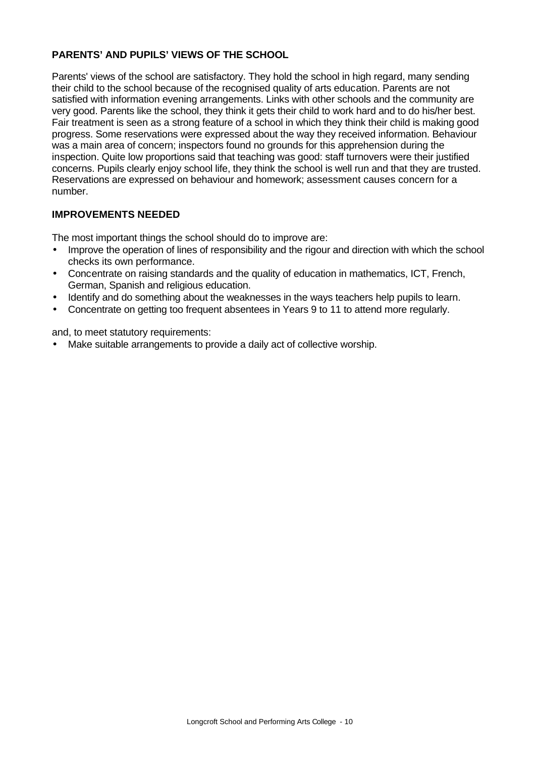# **PARENTS' AND PUPILS' VIEWS OF THE SCHOOL**

Parents' views of the school are satisfactory. They hold the school in high regard, many sending their child to the school because of the recognised quality of arts education. Parents are not satisfied with information evening arrangements. Links with other schools and the community are very good. Parents like the school, they think it gets their child to work hard and to do his/her best. Fair treatment is seen as a strong feature of a school in which they think their child is making good progress. Some reservations were expressed about the way they received information. Behaviour was a main area of concern; inspectors found no grounds for this apprehension during the inspection. Quite low proportions said that teaching was good: staff turnovers were their justified concerns. Pupils clearly enjoy school life, they think the school is well run and that they are trusted. Reservations are expressed on behaviour and homework; assessment causes concern for a number.

# **IMPROVEMENTS NEEDED**

The most important things the school should do to improve are:

- Improve the operation of lines of responsibility and the rigour and direction with which the school checks its own performance.
- Concentrate on raising standards and the quality of education in mathematics, ICT, French, German, Spanish and religious education.
- Identify and do something about the weaknesses in the ways teachers help pupils to learn.
- Concentrate on getting too frequent absentees in Years 9 to 11 to attend more regularly.

and, to meet statutory requirements:

• Make suitable arrangements to provide a daily act of collective worship.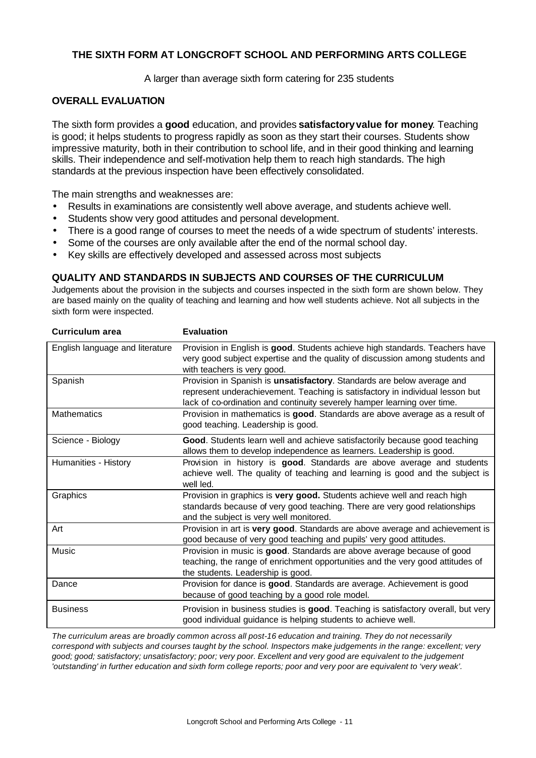### **THE SIXTH FORM AT LONGCROFT SCHOOL AND PERFORMING ARTS COLLEGE**

A larger than average sixth form catering for 235 students

#### **OVERALL EVALUATION**

The sixth form provides a **good** education, and provides **satisfactoryvalue for money**. Teaching is good; it helps students to progress rapidly as soon as they start their courses. Students show impressive maturity, both in their contribution to school life, and in their good thinking and learning skills. Their independence and self-motivation help them to reach high standards. The high standards at the previous inspection have been effectively consolidated.

The main strengths and weaknesses are:

- Results in examinations are consistently well above average, and students achieve well.
- Students show very good attitudes and personal development.
- There is a good range of courses to meet the needs of a wide spectrum of students' interests.
- Some of the courses are only available after the end of the normal school day.
- Key skills are effectively developed and assessed across most subjects

#### **QUALITY AND STANDARDS IN SUBJECTS AND COURSES OF THE CURRICULUM**

Judgements about the provision in the subjects and courses inspected in the sixth form are shown below. They are based mainly on the quality of teaching and learning and how well students achieve. Not all subjects in the sixth form were inspected.

| <b>Curriculum area</b>          | <b>Evaluation</b>                                                                                                                                                                                                                    |
|---------------------------------|--------------------------------------------------------------------------------------------------------------------------------------------------------------------------------------------------------------------------------------|
| English language and literature | Provision in English is good. Students achieve high standards. Teachers have<br>very good subject expertise and the quality of discussion among students and<br>with teachers is very good.                                          |
| Spanish                         | Provision in Spanish is unsatisfactory. Standards are below average and<br>represent underachievement. Teaching is satisfactory in individual lesson but<br>lack of co-ordination and continuity severely hamper learning over time. |
| <b>Mathematics</b>              | Provision in mathematics is good. Standards are above average as a result of<br>good teaching. Leadership is good.                                                                                                                   |
| Science - Biology               | Good. Students learn well and achieve satisfactorily because good teaching<br>allows them to develop independence as learners. Leadership is good.                                                                                   |
| Humanities - History            | Provision in history is good. Standards are above average and students<br>achieve well. The quality of teaching and learning is good and the subject is<br>well led.                                                                 |
| Graphics                        | Provision in graphics is very good. Students achieve well and reach high<br>standards because of very good teaching. There are very good relationships<br>and the subject is very well monitored.                                    |
| Art                             | Provision in art is very good. Standards are above average and achievement is<br>good because of very good teaching and pupils' very good attitudes.                                                                                 |
| <b>Music</b>                    | Provision in music is good. Standards are above average because of good<br>teaching, the range of enrichment opportunities and the very good attitudes of<br>the students. Leadership is good.                                       |
| Dance                           | Provision for dance is good. Standards are average. Achievement is good<br>because of good teaching by a good role model.                                                                                                            |
| <b>Business</b>                 | Provision in business studies is good. Teaching is satisfactory overall, but very<br>good individual guidance is helping students to achieve well.                                                                                   |

*The curriculum areas are broadly common across all post-16 education and training. They do not necessarily correspond with subjects and courses taught by the school. Inspectors make judgements in the range: excellent; very good; good; satisfactory; unsatisfactory; poor; very poor. Excellent and very good are equivalent to the judgement 'outstanding' in further education and sixth form college reports; poor and very poor are equivalent to 'very weak'.*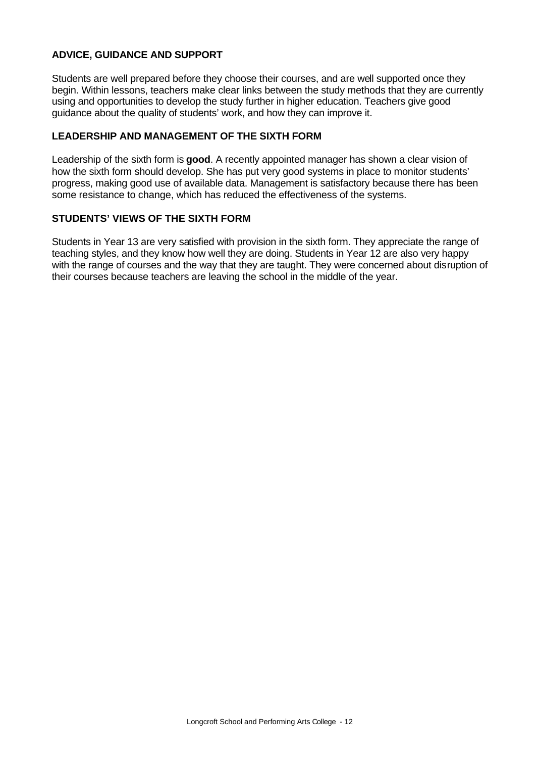### **ADVICE, GUIDANCE AND SUPPORT**

Students are well prepared before they choose their courses, and are well supported once they begin. Within lessons, teachers make clear links between the study methods that they are currently using and opportunities to develop the study further in higher education. Teachers give good guidance about the quality of students' work, and how they can improve it.

#### **LEADERSHIP AND MANAGEMENT OF THE SIXTH FORM**

Leadership of the sixth form is **good**. A recently appointed manager has shown a clear vision of how the sixth form should develop. She has put very good systems in place to monitor students' progress, making good use of available data. Management is satisfactory because there has been some resistance to change, which has reduced the effectiveness of the systems.

#### **STUDENTS' VIEWS OF THE SIXTH FORM**

Students in Year 13 are very satisfied with provision in the sixth form. They appreciate the range of teaching styles, and they know how well they are doing. Students in Year 12 are also very happy with the range of courses and the way that they are taught. They were concerned about disruption of their courses because teachers are leaving the school in the middle of the year.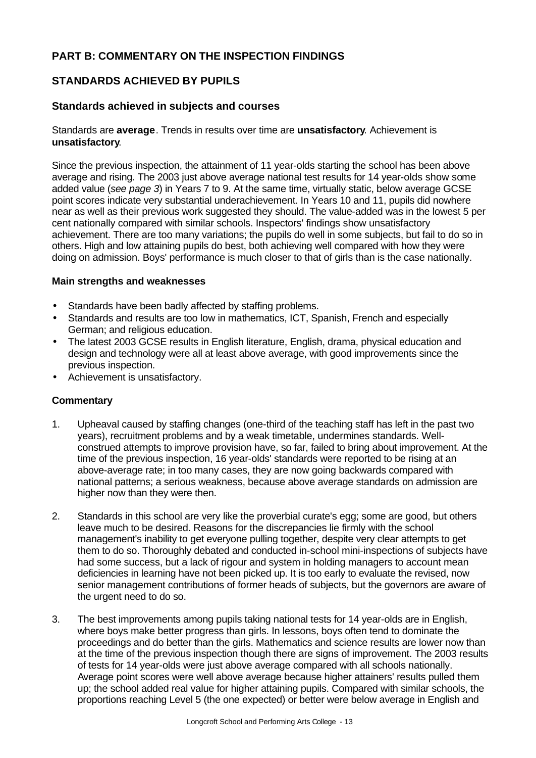# **PART B: COMMENTARY ON THE INSPECTION FINDINGS**

# **STANDARDS ACHIEVED BY PUPILS**

### **Standards achieved in subjects and courses**

#### Standards are **average**. Trends in results over time are **unsatisfactory**. Achievement is **unsatisfactory**.

Since the previous inspection, the attainment of 11 year-olds starting the school has been above average and rising. The 2003 just above average national test results for 14 year-olds show some added value (*see page 3*) in Years 7 to 9. At the same time, virtually static, below average GCSE point scores indicate very substantial underachievement. In Years 10 and 11, pupils did nowhere near as well as their previous work suggested they should. The value-added was in the lowest 5 per cent nationally compared with similar schools. Inspectors' findings show unsatisfactory achievement. There are too many variations; the pupils do well in some subjects, but fail to do so in others. High and low attaining pupils do best, both achieving well compared with how they were doing on admission. Boys' performance is much closer to that of girls than is the case nationally.

#### **Main strengths and weaknesses**

- Standards have been badly affected by staffing problems.
- Standards and results are too low in mathematics, ICT, Spanish, French and especially German; and religious education.
- The latest 2003 GCSE results in English literature, English, drama, physical education and design and technology were all at least above average, with good improvements since the previous inspection.
- Achievement is unsatisfactory.

- 1. Upheaval caused by staffing changes (one-third of the teaching staff has left in the past two years), recruitment problems and by a weak timetable, undermines standards. Wellconstrued attempts to improve provision have, so far, failed to bring about improvement. At the time of the previous inspection, 16 year-olds' standards were reported to be rising at an above-average rate; in too many cases, they are now going backwards compared with national patterns; a serious weakness, because above average standards on admission are higher now than they were then.
- 2. Standards in this school are very like the proverbial curate's egg; some are good, but others leave much to be desired. Reasons for the discrepancies lie firmly with the school management's inability to get everyone pulling together, despite very clear attempts to get them to do so. Thoroughly debated and conducted in-school mini-inspections of subjects have had some success, but a lack of rigour and system in holding managers to account mean deficiencies in learning have not been picked up. It is too early to evaluate the revised, now senior management contributions of former heads of subjects, but the governors are aware of the urgent need to do so.
- 3. The best improvements among pupils taking national tests for 14 year-olds are in English, where boys make better progress than girls. In lessons, boys often tend to dominate the proceedings and do better than the girls. Mathematics and science results are lower now than at the time of the previous inspection though there are signs of improvement. The 2003 results of tests for 14 year-olds were just above average compared with all schools nationally. Average point scores were well above average because higher attainers' results pulled them up; the school added real value for higher attaining pupils. Compared with similar schools, the proportions reaching Level 5 (the one expected) or better were below average in English and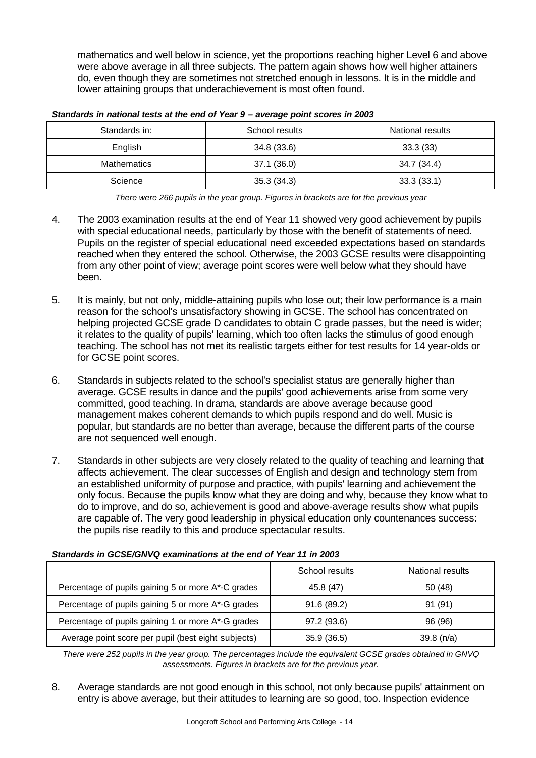mathematics and well below in science, yet the proportions reaching higher Level 6 and above were above average in all three subjects. The pattern again shows how well higher attainers do, even though they are sometimes not stretched enough in lessons. It is in the middle and lower attaining groups that underachievement is most often found.

| Standards in:      | School results | National results |
|--------------------|----------------|------------------|
| English            | 34.8 (33.6)    | 33.3(33)         |
| <b>Mathematics</b> | 37.1 (36.0)    | 34.7 (34.4)      |
| Science            | 35.3(34.3)     | 33.3(33.1)       |

*Standards in national tests at the end of Year 9 – average point scores in 2003*

*There were 266 pupils in the year group. Figures in brackets are for the previous year*

- 4. The 2003 examination results at the end of Year 11 showed very good achievement by pupils with special educational needs, particularly by those with the benefit of statements of need. Pupils on the register of special educational need exceeded expectations based on standards reached when they entered the school. Otherwise, the 2003 GCSE results were disappointing from any other point of view; average point scores were well below what they should have been.
- 5. It is mainly, but not only, middle-attaining pupils who lose out; their low performance is a main reason for the school's unsatisfactory showing in GCSE. The school has concentrated on helping projected GCSE grade D candidates to obtain C grade passes, but the need is wider; it relates to the quality of pupils' learning, which too often lacks the stimulus of good enough teaching. The school has not met its realistic targets either for test results for 14 year-olds or for GCSE point scores.
- 6. Standards in subjects related to the school's specialist status are generally higher than average. GCSE results in dance and the pupils' good achievements arise from some very committed, good teaching. In drama, standards are above average because good management makes coherent demands to which pupils respond and do well. Music is popular, but standards are no better than average, because the different parts of the course are not sequenced well enough.
- 7. Standards in other subjects are very closely related to the quality of teaching and learning that affects achievement. The clear successes of English and design and technology stem from an established uniformity of purpose and practice, with pupils' learning and achievement the only focus. Because the pupils know what they are doing and why, because they know what to do to improve, and do so, achievement is good and above-average results show what pupils are capable of. The very good leadership in physical education only countenances success: the pupils rise readily to this and produce spectacular results.

|                                                     | School results | National results |
|-----------------------------------------------------|----------------|------------------|
| Percentage of pupils gaining 5 or more A*-C grades  | 45.8 (47)      | 50 (48)          |
| Percentage of pupils gaining 5 or more A*-G grades  | 91.6(89.2)     | 91 (91)          |
| Percentage of pupils gaining 1 or more A*-G grades  | 97.2 (93.6)    | 96 (96)          |
| Average point score per pupil (best eight subjects) | 35.9(36.5)     | 39.8(n/a)        |

|  | Standards in GCSE/GNVQ examinations at the end of Year 11 in 2003 |  |  |  |
|--|-------------------------------------------------------------------|--|--|--|
|  |                                                                   |  |  |  |

*There were 252 pupils in the year group. The percentages include the equivalent GCSE grades obtained in GNVQ assessments. Figures in brackets are for the previous year.* 

8. Average standards are not good enough in this school, not only because pupils' attainment on entry is above average, but their attitudes to learning are so good, too. Inspection evidence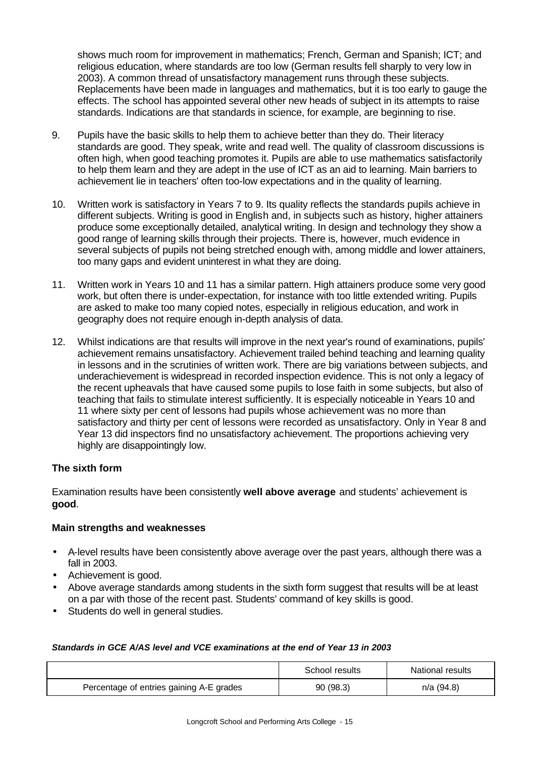shows much room for improvement in mathematics; French, German and Spanish; ICT; and religious education, where standards are too low (German results fell sharply to very low in 2003). A common thread of unsatisfactory management runs through these subjects. Replacements have been made in languages and mathematics, but it is too early to gauge the effects. The school has appointed several other new heads of subject in its attempts to raise standards. Indications are that standards in science, for example, are beginning to rise.

- 9. Pupils have the basic skills to help them to achieve better than they do. Their literacy standards are good. They speak, write and read well. The quality of classroom discussions is often high, when good teaching promotes it. Pupils are able to use mathematics satisfactorily to help them learn and they are adept in the use of ICT as an aid to learning. Main barriers to achievement lie in teachers' often too-low expectations and in the quality of learning.
- 10. Written work is satisfactory in Years 7 to 9. Its quality reflects the standards pupils achieve in different subjects. Writing is good in English and, in subjects such as history, higher attainers produce some exceptionally detailed, analytical writing. In design and technology they show a good range of learning skills through their projects. There is, however, much evidence in several subjects of pupils not being stretched enough with, among middle and lower attainers, too many gaps and evident uninterest in what they are doing.
- 11. Written work in Years 10 and 11 has a similar pattern. High attainers produce some very good work, but often there is under-expectation, for instance with too little extended writing. Pupils are asked to make too many copied notes, especially in religious education, and work in geography does not require enough in-depth analysis of data.
- 12. Whilst indications are that results will improve in the next year's round of examinations, pupils' achievement remains unsatisfactory. Achievement trailed behind teaching and learning quality in lessons and in the scrutinies of written work. There are big variations between subjects, and underachievement is widespread in recorded inspection evidence. This is not only a legacy of the recent upheavals that have caused some pupils to lose faith in some subjects, but also of teaching that fails to stimulate interest sufficiently. It is especially noticeable in Years 10 and 11 where sixty per cent of lessons had pupils whose achievement was no more than satisfactory and thirty per cent of lessons were recorded as unsatisfactory. Only in Year 8 and Year 13 did inspectors find no unsatisfactory achievement. The proportions achieving very highly are disappointingly low.

#### **The sixth form**

Examination results have been consistently **well above average** and students' achievement is **good**.

#### **Main strengths and weaknesses**

- A-level results have been consistently above average over the past years, although there was a fall in 2003.
- Achievement is good.
- Above average standards among students in the sixth form suggest that results will be at least on a par with those of the recent past. Students' command of key skills is good.
- Students do well in general studies.

#### *Standards in GCE A/AS level and VCE examinations at the end of Year 13 in 2003*

|                                          | School results | National results |
|------------------------------------------|----------------|------------------|
| Percentage of entries gaining A-E grades | 90 (98.3)      | n/a (94.8)       |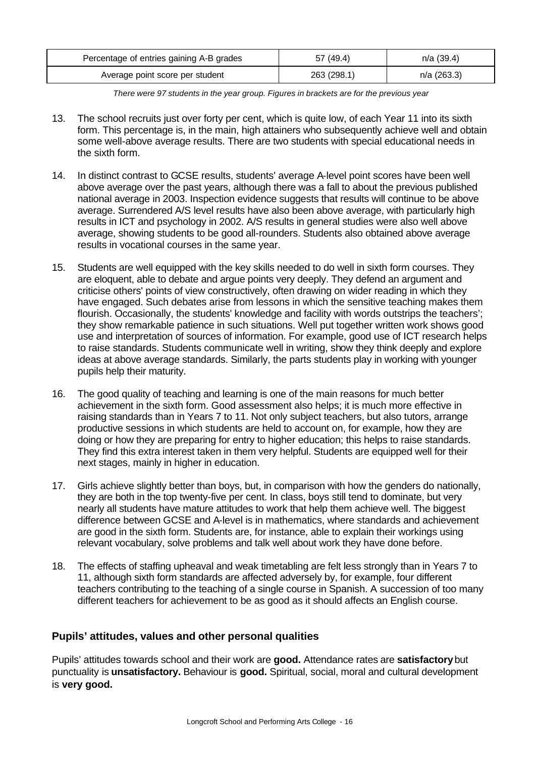| Percentage of entries gaining A-B grades | 57 (49.4)   | n/a (39.4)    |
|------------------------------------------|-------------|---------------|
| Average point score per student          | 263 (298.1) | $n/a$ (263.3) |

*There were 97 students in the year group. Figures in brackets are for the previous year*

- 13. The school recruits just over forty per cent, which is quite low, of each Year 11 into its sixth form. This percentage is, in the main, high attainers who subsequently achieve well and obtain some well-above average results. There are two students with special educational needs in the sixth form.
- 14. In distinct contrast to GCSE results, students' average A-level point scores have been well above average over the past years, although there was a fall to about the previous published national average in 2003. Inspection evidence suggests that results will continue to be above average. Surrendered A/S level results have also been above average, with particularly high results in ICT and psychology in 2002. A/S results in general studies were also well above average, showing students to be good all-rounders. Students also obtained above average results in vocational courses in the same year.
- 15. Students are well equipped with the key skills needed to do well in sixth form courses. They are eloquent, able to debate and argue points very deeply. They defend an argument and criticise others' points of view constructively, often drawing on wider reading in which they have engaged. Such debates arise from lessons in which the sensitive teaching makes them flourish. Occasionally, the students' knowledge and facility with words outstrips the teachers'; they show remarkable patience in such situations. Well put together written work shows good use and interpretation of sources of information. For example, good use of ICT research helps to raise standards. Students communicate well in writing, show they think deeply and explore ideas at above average standards. Similarly, the parts students play in working with younger pupils help their maturity.
- 16. The good quality of teaching and learning is one of the main reasons for much better achievement in the sixth form. Good assessment also helps; it is much more effective in raising standards than in Years 7 to 11. Not only subject teachers, but also tutors, arrange productive sessions in which students are held to account on, for example, how they are doing or how they are preparing for entry to higher education; this helps to raise standards. They find this extra interest taken in them very helpful. Students are equipped well for their next stages, mainly in higher in education.
- 17. Girls achieve slightly better than boys, but, in comparison with how the genders do nationally, they are both in the top twenty-five per cent. In class, boys still tend to dominate, but very nearly all students have mature attitudes to work that help them achieve well. The biggest difference between GCSE and A-level is in mathematics, where standards and achievement are good in the sixth form. Students are, for instance, able to explain their workings using relevant vocabulary, solve problems and talk well about work they have done before.
- 18. The effects of staffing upheaval and weak timetabling are felt less strongly than in Years 7 to 11, although sixth form standards are affected adversely by, for example, four different teachers contributing to the teaching of a single course in Spanish. A succession of too many different teachers for achievement to be as good as it should affects an English course.

#### **Pupils' attitudes, values and other personal qualities**

Pupils' attitudes towards school and their work are **good.** Attendance rates are **satisfactory** but punctuality is **unsatisfactory.** Behaviour is **good.** Spiritual, social, moral and cultural development is **very good.**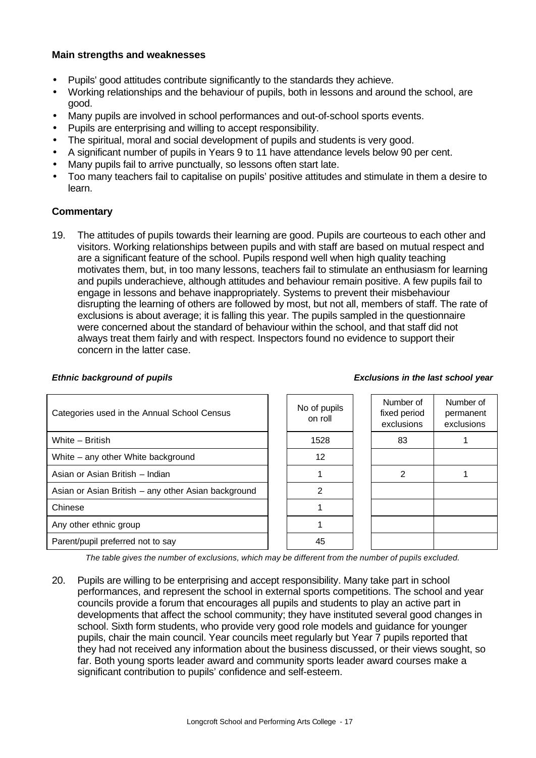#### **Main strengths and weaknesses**

- Pupils' good attitudes contribute significantly to the standards they achieve.
- Working relationships and the behaviour of pupils, both in lessons and around the school, are good.
- Many pupils are involved in school performances and out-of-school sports events.
- Pupils are enterprising and willing to accept responsibility.
- The spiritual, moral and social development of pupils and students is very good.
- A significant number of pupils in Years 9 to 11 have attendance levels below 90 per cent.
- Many pupils fail to arrive punctually, so lessons often start late.
- Too many teachers fail to capitalise on pupils' positive attitudes and stimulate in them a desire to learn.

#### **Commentary**

19. The attitudes of pupils towards their learning are good. Pupils are courteous to each other and visitors. Working relationships between pupils and with staff are based on mutual respect and are a significant feature of the school. Pupils respond well when high quality teaching motivates them, but, in too many lessons, teachers fail to stimulate an enthusiasm for learning and pupils underachieve, although attitudes and behaviour remain positive. A few pupils fail to engage in lessons and behave inappropriately. Systems to prevent their misbehaviour disrupting the learning of others are followed by most, but not all, members of staff. The rate of exclusions is about average; it is falling this year. The pupils sampled in the questionnaire were concerned about the standard of behaviour within the school, and that staff did not always treat them fairly and with respect. Inspectors found no evidence to support their concern in the latter case.

| Categories used in the Annual School Census         | No of pupils<br>on roll | Number of<br>fixed period<br>exclusions | Number of<br>permanent<br>exclusions |
|-----------------------------------------------------|-------------------------|-----------------------------------------|--------------------------------------|
| White - British                                     | 1528                    | 83                                      |                                      |
| White – any other White background                  | $12 \overline{ }$       |                                         |                                      |
| Asian or Asian British - Indian                     |                         | 2                                       |                                      |
| Asian or Asian British - any other Asian background | 2                       |                                         |                                      |
| Chinese                                             |                         |                                         |                                      |
| Any other ethnic group                              |                         |                                         |                                      |
| Parent/pupil preferred not to say                   | 45                      |                                         |                                      |
|                                                     |                         |                                         |                                      |

 $\blacksquare$ 

*Ethnic background of pupils Exclusions in the last school year*

 $\overline{a}$ 

*The table gives the number of exclusions, which may be different from the number of pupils excluded.*

20. Pupils are willing to be enterprising and accept responsibility. Many take part in school performances, and represent the school in external sports competitions. The school and year councils provide a forum that encourages all pupils and students to play an active part in developments that affect the school community; they have instituted several good changes in school. Sixth form students, who provide very good role models and guidance for younger pupils, chair the main council. Year councils meet regularly but Year 7 pupils reported that they had not received any information about the business discussed, or their views sought, so far. Both young sports leader award and community sports leader award courses make a significant contribution to pupils' confidence and self-esteem.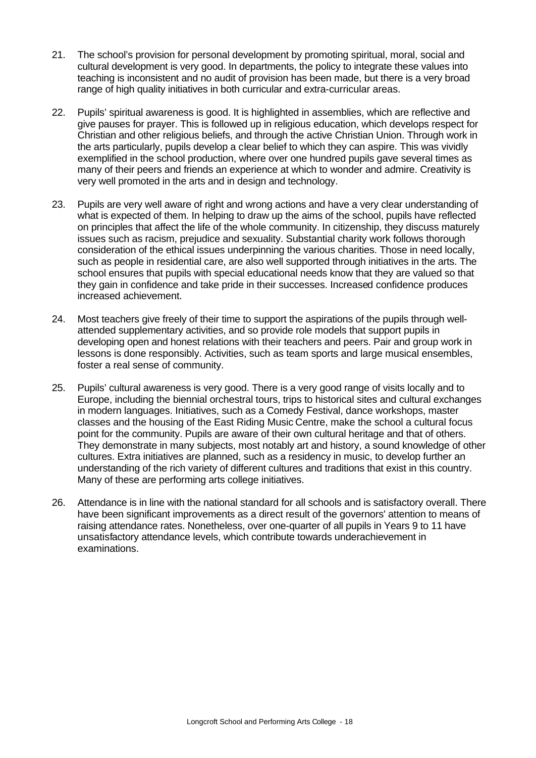- 21. The school's provision for personal development by promoting spiritual, moral, social and cultural development is very good. In departments, the policy to integrate these values into teaching is inconsistent and no audit of provision has been made, but there is a very broad range of high quality initiatives in both curricular and extra-curricular areas.
- 22. Pupils' spiritual awareness is good. It is highlighted in assemblies, which are reflective and give pauses for prayer. This is followed up in religious education, which develops respect for Christian and other religious beliefs, and through the active Christian Union. Through work in the arts particularly, pupils develop a clear belief to which they can aspire. This was vividly exemplified in the school production, where over one hundred pupils gave several times as many of their peers and friends an experience at which to wonder and admire. Creativity is very well promoted in the arts and in design and technology.
- 23. Pupils are very well aware of right and wrong actions and have a very clear understanding of what is expected of them. In helping to draw up the aims of the school, pupils have reflected on principles that affect the life of the whole community. In citizenship, they discuss maturely issues such as racism, prejudice and sexuality. Substantial charity work follows thorough consideration of the ethical issues underpinning the various charities. Those in need locally, such as people in residential care, are also well supported through initiatives in the arts. The school ensures that pupils with special educational needs know that they are valued so that they gain in confidence and take pride in their successes. Increased confidence produces increased achievement.
- 24. Most teachers give freely of their time to support the aspirations of the pupils through wellattended supplementary activities, and so provide role models that support pupils in developing open and honest relations with their teachers and peers. Pair and group work in lessons is done responsibly. Activities, such as team sports and large musical ensembles, foster a real sense of community.
- 25. Pupils' cultural awareness is very good. There is a very good range of visits locally and to Europe, including the biennial orchestral tours, trips to historical sites and cultural exchanges in modern languages. Initiatives, such as a Comedy Festival, dance workshops, master classes and the housing of the East Riding Music Centre, make the school a cultural focus point for the community. Pupils are aware of their own cultural heritage and that of others. They demonstrate in many subjects, most notably art and history, a sound knowledge of other cultures. Extra initiatives are planned, such as a residency in music, to develop further an understanding of the rich variety of different cultures and traditions that exist in this country. Many of these are performing arts college initiatives.
- 26. Attendance is in line with the national standard for all schools and is satisfactory overall. There have been significant improvements as a direct result of the governors' attention to means of raising attendance rates. Nonetheless, over one-quarter of all pupils in Years 9 to 11 have unsatisfactory attendance levels, which contribute towards underachievement in examinations.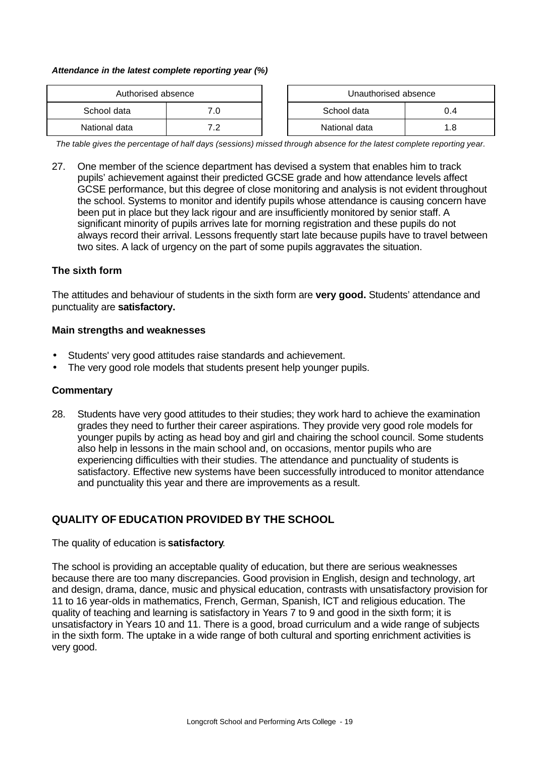#### *Attendance in the latest complete reporting year (%)*

| Authorised absence |     | Unauthorised absence |     |  |
|--------------------|-----|----------------------|-----|--|
| School data        | 7.0 | School data<br>0.4   |     |  |
| National data      | 70  | National data        | 1.8 |  |

| Unauthorised absence |     |
|----------------------|-----|
| School data          | በ 4 |
| National data        | 1 8 |

*The table gives the percentage of half days (sessions) missed through absence for the latest complete reporting year.*

27. One member of the science department has devised a system that enables him to track pupils' achievement against their predicted GCSE grade and how attendance levels affect GCSE performance, but this degree of close monitoring and analysis is not evident throughout the school. Systems to monitor and identify pupils whose attendance is causing concern have been put in place but they lack rigour and are insufficiently monitored by senior staff. A significant minority of pupils arrives late for morning registration and these pupils do not always record their arrival. Lessons frequently start late because pupils have to travel between two sites. A lack of urgency on the part of some pupils aggravates the situation.

#### **The sixth form**

The attitudes and behaviour of students in the sixth form are **very good.** Students' attendance and punctuality are **satisfactory.** 

#### **Main strengths and weaknesses**

- Students' very good attitudes raise standards and achievement.
- The very good role models that students present help younger pupils.

#### **Commentary**

28. Students have very good attitudes to their studies; they work hard to achieve the examination grades they need to further their career aspirations. They provide very good role models for younger pupils by acting as head boy and girl and chairing the school council. Some students also help in lessons in the main school and, on occasions, mentor pupils who are experiencing difficulties with their studies. The attendance and punctuality of students is satisfactory. Effective new systems have been successfully introduced to monitor attendance and punctuality this year and there are improvements as a result.

# **QUALITY OF EDUCATION PROVIDED BY THE SCHOOL**

#### The quality of education is **satisfactory**.

The school is providing an acceptable quality of education, but there are serious weaknesses because there are too many discrepancies. Good provision in English, design and technology, art and design, drama, dance, music and physical education, contrasts with unsatisfactory provision for 11 to 16 year-olds in mathematics, French, German, Spanish, ICT and religious education. The quality of teaching and learning is satisfactory in Years 7 to 9 and good in the sixth form; it is unsatisfactory in Years 10 and 11. There is a good, broad curriculum and a wide range of subjects in the sixth form. The uptake in a wide range of both cultural and sporting enrichment activities is very good.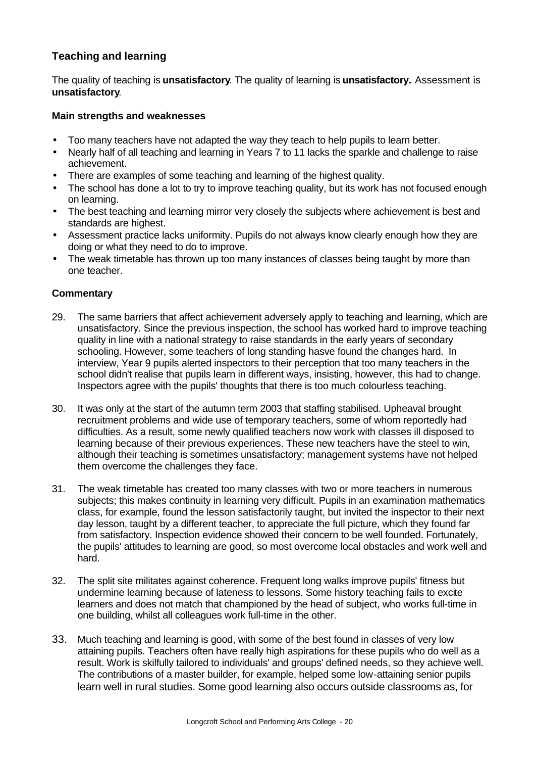# **Teaching and learning**

The quality of teaching is **unsatisfactory**. The quality of learning is **unsatisfactory.** Assessment is **unsatisfactory**.

#### **Main strengths and weaknesses**

- Too many teachers have not adapted the way they teach to help pupils to learn better.
- Nearly half of all teaching and learning in Years 7 to 11 lacks the sparkle and challenge to raise achievement.
- There are examples of some teaching and learning of the highest quality.
- The school has done a lot to try to improve teaching quality, but its work has not focused enough on learning.
- The best teaching and learning mirror very closely the subjects where achievement is best and standards are highest.
- Assessment practice lacks uniformity. Pupils do not always know clearly enough how they are doing or what they need to do to improve.
- The weak timetable has thrown up too many instances of classes being taught by more than one teacher.

- 29. The same barriers that affect achievement adversely apply to teaching and learning, which are unsatisfactory. Since the previous inspection, the school has worked hard to improve teaching quality in line with a national strategy to raise standards in the early years of secondary schooling. However, some teachers of long standing hasve found the changes hard. In interview, Year 9 pupils alerted inspectors to their perception that too many teachers in the school didn't realise that pupils learn in different ways, insisting, however, this had to change. Inspectors agree with the pupils' thoughts that there is too much colourless teaching.
- 30. It was only at the start of the autumn term 2003 that staffing stabilised. Upheaval brought recruitment problems and wide use of temporary teachers, some of whom reportedly had difficulties. As a result, some newly qualified teachers now work with classes ill disposed to learning because of their previous experiences. These new teachers have the steel to win, although their teaching is sometimes unsatisfactory; management systems have not helped them overcome the challenges they face.
- 31. The weak timetable has created too many classes with two or more teachers in numerous subjects; this makes continuity in learning very difficult. Pupils in an examination mathematics class, for example, found the lesson satisfactorily taught, but invited the inspector to their next day lesson, taught by a different teacher, to appreciate the full picture, which they found far from satisfactory. Inspection evidence showed their concern to be well founded. Fortunately, the pupils' attitudes to learning are good, so most overcome local obstacles and work well and hard.
- 32. The split site militates against coherence. Frequent long walks improve pupils' fitness but undermine learning because of lateness to lessons. Some history teaching fails to excite learners and does not match that championed by the head of subject, who works full-time in one building, whilst all colleagues work full-time in the other.
- 33. Much teaching and learning is good, with some of the best found in classes of very low attaining pupils. Teachers often have really high aspirations for these pupils who do well as a result. Work is skilfully tailored to individuals' and groups' defined needs, so they achieve well. The contributions of a master builder, for example, helped some low-attaining senior pupils learn well in rural studies. Some good learning also occurs outside classrooms as, for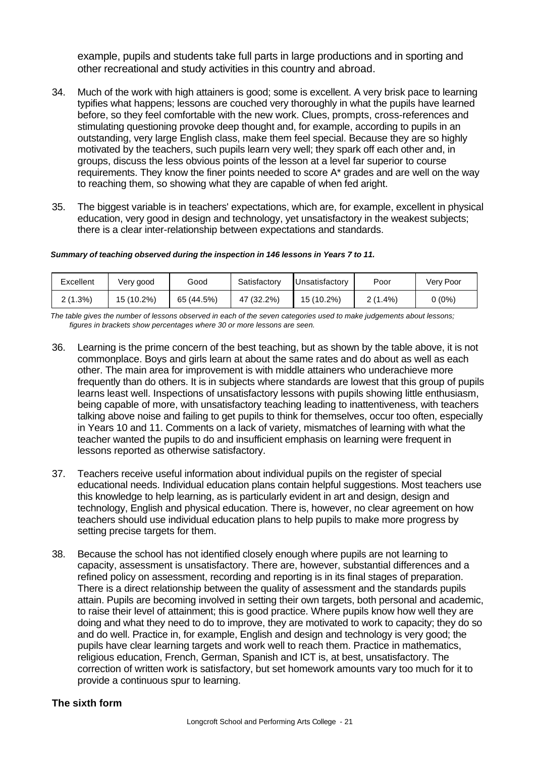example, pupils and students take full parts in large productions and in sporting and other recreational and study activities in this country and abroad.

- 34. Much of the work with high attainers is good; some is excellent. A very brisk pace to learning typifies what happens; lessons are couched very thoroughly in what the pupils have learned before, so they feel comfortable with the new work. Clues, prompts, cross-references and stimulating questioning provoke deep thought and, for example, according to pupils in an outstanding, very large English class, make them feel special. Because they are so highly motivated by the teachers, such pupils learn very well; they spark off each other and, in groups, discuss the less obvious points of the lesson at a level far superior to course requirements. They know the finer points needed to score A\* grades and are well on the way to reaching them, so showing what they are capable of when fed aright.
- 35. The biggest variable is in teachers' expectations, which are, for example, excellent in physical education, very good in design and technology, yet unsatisfactory in the weakest subjects; there is a clear inter-relationship between expectations and standards.

*Summary of teaching observed during the inspection in 146 lessons in Years 7 to 11.*

| Excellent  | Very good  | Good       | Satisfactory | Unsatisfactory | Poor       | Very Poor |
|------------|------------|------------|--------------|----------------|------------|-----------|
| $2(1.3\%)$ | 15 (10.2%) | 65 (44.5%) | 47 (32.2%)   | 15 (10.2%)     | $2(1.4\%)$ | $0(0\%)$  |

*The table gives the number of lessons observed in each of the seven categories used to make judgements about lessons; figures in brackets show percentages where 30 or more lessons are seen.*

- 36. Learning is the prime concern of the best teaching, but as shown by the table above, it is not commonplace. Boys and girls learn at about the same rates and do about as well as each other. The main area for improvement is with middle attainers who underachieve more frequently than do others. It is in subjects where standards are lowest that this group of pupils learns least well. Inspections of unsatisfactory lessons with pupils showing little enthusiasm, being capable of more, with unsatisfactory teaching leading to inattentiveness, with teachers talking above noise and failing to get pupils to think for themselves, occur too often, especially in Years 10 and 11. Comments on a lack of variety, mismatches of learning with what the teacher wanted the pupils to do and insufficient emphasis on learning were frequent in lessons reported as otherwise satisfactory.
- 37. Teachers receive useful information about individual pupils on the register of special educational needs. Individual education plans contain helpful suggestions. Most teachers use this knowledge to help learning, as is particularly evident in art and design, design and technology, English and physical education. There is, however, no clear agreement on how teachers should use individual education plans to help pupils to make more progress by setting precise targets for them.
- 38. Because the school has not identified closely enough where pupils are not learning to capacity, assessment is unsatisfactory. There are, however, substantial differences and a refined policy on assessment, recording and reporting is in its final stages of preparation. There is a direct relationship between the quality of assessment and the standards pupils attain. Pupils are becoming involved in setting their own targets, both personal and academic, to raise their level of attainment; this is good practice. Where pupils know how well they are doing and what they need to do to improve, they are motivated to work to capacity; they do so and do well. Practice in, for example, English and design and technology is very good; the pupils have clear learning targets and work well to reach them. Practice in mathematics, religious education, French, German, Spanish and ICT is, at best, unsatisfactory. The correction of written work is satisfactory, but set homework amounts vary too much for it to provide a continuous spur to learning.

# **The sixth form**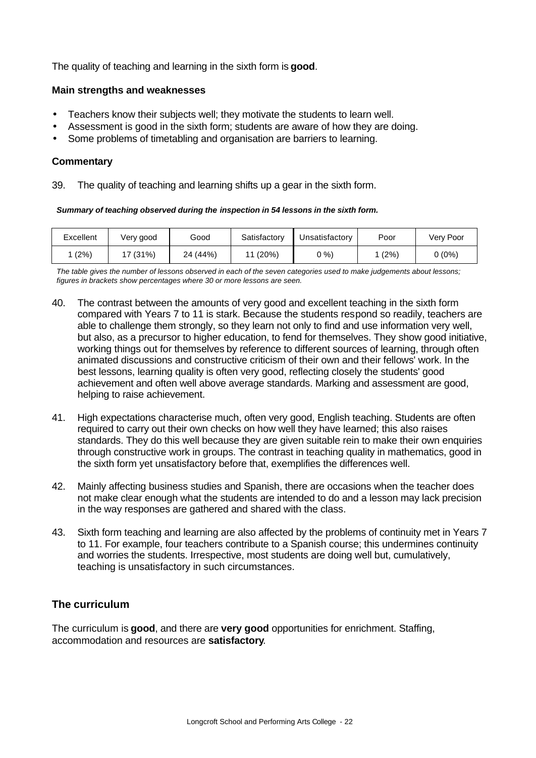The quality of teaching and learning in the sixth form is **good**.

#### **Main strengths and weaknesses**

- Teachers know their subjects well; they motivate the students to learn well.
- Assessment is good in the sixth form; students are aware of how they are doing.
- Some problems of timetabling and organisation are barriers to learning.

#### **Commentary**

39. The quality of teaching and learning shifts up a gear in the sixth form.

*Summary of teaching observed during the inspection in 54 lessons in the sixth form.*

| Excellent | Very good | Good     | Satisfactory | Unsatisfactory | Poor | Very Poor |
|-----------|-----------|----------|--------------|----------------|------|-----------|
| (2%)      | 7(31%)    | 24 (44%) | (20%)        | <u> ን %)</u>   | (2%) | $0(0\%)$  |

*The table gives the number of lessons observed in each of the seven categories used to make judgements about lessons; figures in brackets show percentages where 30 or more lessons are seen.*

- 40. The contrast between the amounts of very good and excellent teaching in the sixth form compared with Years 7 to 11 is stark. Because the students respond so readily, teachers are able to challenge them strongly, so they learn not only to find and use information very well, but also, as a precursor to higher education, to fend for themselves. They show good initiative, working things out for themselves by reference to different sources of learning, through often animated discussions and constructive criticism of their own and their fellows' work. In the best lessons, learning quality is often very good, reflecting closely the students' good achievement and often well above average standards. Marking and assessment are good, helping to raise achievement.
- 41. High expectations characterise much, often very good, English teaching. Students are often required to carry out their own checks on how well they have learned; this also raises standards. They do this well because they are given suitable rein to make their own enquiries through constructive work in groups. The contrast in teaching quality in mathematics, good in the sixth form yet unsatisfactory before that, exemplifies the differences well.
- 42. Mainly affecting business studies and Spanish, there are occasions when the teacher does not make clear enough what the students are intended to do and a lesson may lack precision in the way responses are gathered and shared with the class.
- 43. Sixth form teaching and learning are also affected by the problems of continuity met in Years 7 to 11. For example, four teachers contribute to a Spanish course; this undermines continuity and worries the students. Irrespective, most students are doing well but, cumulatively, teaching is unsatisfactory in such circumstances.

# **The curriculum**

The curriculum is **good**, and there are **very good** opportunities for enrichment. Staffing, accommodation and resources are **satisfactory**.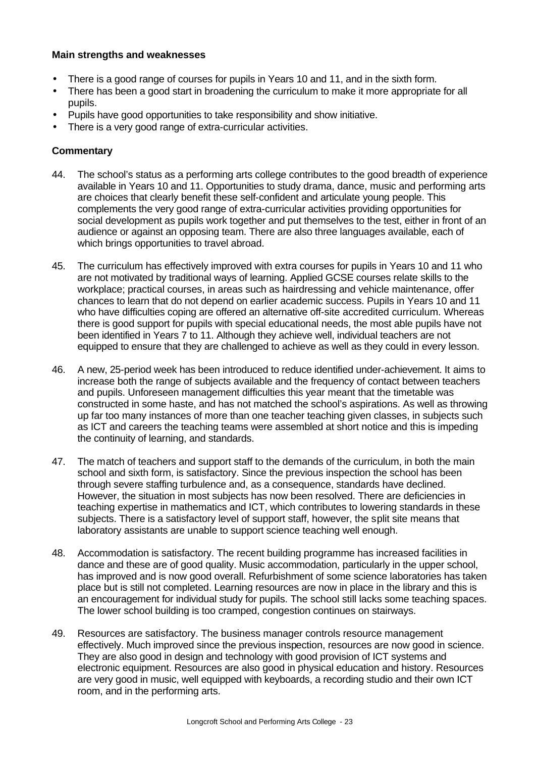#### **Main strengths and weaknesses**

- There is a good range of courses for pupils in Years 10 and 11, and in the sixth form.
- There has been a good start in broadening the curriculum to make it more appropriate for all pupils.
- Pupils have good opportunities to take responsibility and show initiative.
- There is a very good range of extra-curricular activities.

- 44. The school's status as a performing arts college contributes to the good breadth of experience available in Years 10 and 11. Opportunities to study drama, dance, music and performing arts are choices that clearly benefit these self-confident and articulate young people. This complements the very good range of extra-curricular activities providing opportunities for social development as pupils work together and put themselves to the test, either in front of an audience or against an opposing team. There are also three languages available, each of which brings opportunities to travel abroad.
- 45. The curriculum has effectively improved with extra courses for pupils in Years 10 and 11 who are not motivated by traditional ways of learning. Applied GCSE courses relate skills to the workplace; practical courses, in areas such as hairdressing and vehicle maintenance, offer chances to learn that do not depend on earlier academic success. Pupils in Years 10 and 11 who have difficulties coping are offered an alternative off-site accredited curriculum. Whereas there is good support for pupils with special educational needs, the most able pupils have not been identified in Years 7 to 11. Although they achieve well, individual teachers are not equipped to ensure that they are challenged to achieve as well as they could in every lesson.
- 46. A new, 25-period week has been introduced to reduce identified under-achievement. It aims to increase both the range of subjects available and the frequency of contact between teachers and pupils. Unforeseen management difficulties this year meant that the timetable was constructed in some haste, and has not matched the school's aspirations. As well as throwing up far too many instances of more than one teacher teaching given classes, in subjects such as ICT and careers the teaching teams were assembled at short notice and this is impeding the continuity of learning, and standards.
- 47. The match of teachers and support staff to the demands of the curriculum, in both the main school and sixth form, is satisfactory. Since the previous inspection the school has been through severe staffing turbulence and, as a consequence, standards have declined. However, the situation in most subjects has now been resolved. There are deficiencies in teaching expertise in mathematics and ICT, which contributes to lowering standards in these subjects. There is a satisfactory level of support staff, however, the split site means that laboratory assistants are unable to support science teaching well enough.
- 48. Accommodation is satisfactory. The recent building programme has increased facilities in dance and these are of good quality. Music accommodation, particularly in the upper school, has improved and is now good overall. Refurbishment of some science laboratories has taken place but is still not completed. Learning resources are now in place in the library and this is an encouragement for individual study for pupils. The school still lacks some teaching spaces. The lower school building is too cramped, congestion continues on stairways.
- 49. Resources are satisfactory. The business manager controls resource management effectively. Much improved since the previous inspection, resources are now good in science. They are also good in design and technology with good provision of ICT systems and electronic equipment. Resources are also good in physical education and history. Resources are very good in music, well equipped with keyboards, a recording studio and their own ICT room, and in the performing arts.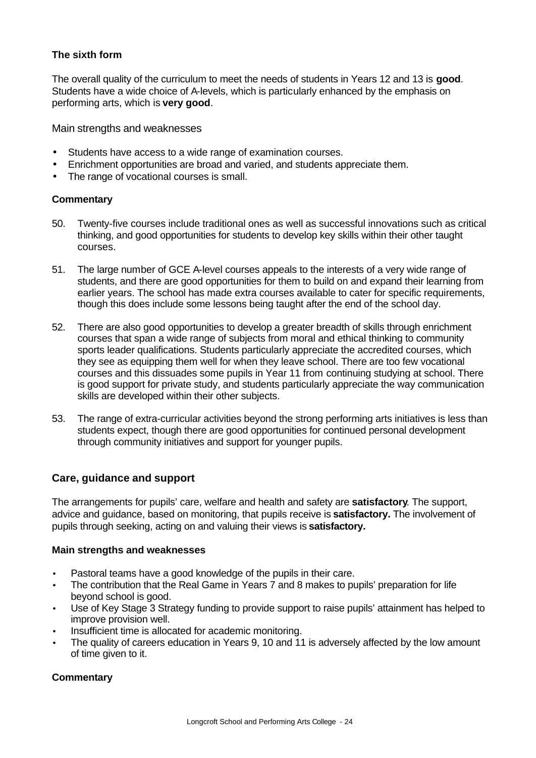# **The sixth form**

The overall quality of the curriculum to meet the needs of students in Years 12 and 13 is **good**. Students have a wide choice of A-levels, which is particularly enhanced by the emphasis on performing arts, which is **very good**.

Main strengths and weaknesses

- Students have access to a wide range of examination courses.
- Enrichment opportunities are broad and varied, and students appreciate them.
- The range of vocational courses is small.

#### **Commentary**

- 50. Twenty-five courses include traditional ones as well as successful innovations such as critical thinking, and good opportunities for students to develop key skills within their other taught courses.
- 51. The large number of GCE A-level courses appeals to the interests of a very wide range of students, and there are good opportunities for them to build on and expand their learning from earlier years. The school has made extra courses available to cater for specific requirements, though this does include some lessons being taught after the end of the school day.
- 52. There are also good opportunities to develop a greater breadth of skills through enrichment courses that span a wide range of subjects from moral and ethical thinking to community sports leader qualifications. Students particularly appreciate the accredited courses, which they see as equipping them well for when they leave school. There are too few vocational courses and this dissuades some pupils in Year 11 from continuing studying at school. There is good support for private study, and students particularly appreciate the way communication skills are developed within their other subjects.
- 53. The range of extra-curricular activities beyond the strong performing arts initiatives is less than students expect, though there are good opportunities for continued personal development through community initiatives and support for younger pupils.

#### **Care, guidance and support**

The arrangements for pupils' care, welfare and health and safety are **satisfactory**. The support, advice and guidance, based on monitoring, that pupils receive is **satisfactory.** The involvement of pupils through seeking, acting on and valuing their views is **satisfactory.**

#### **Main strengths and weaknesses**

- Pastoral teams have a good knowledge of the pupils in their care.
- The contribution that the Real Game in Years 7 and 8 makes to pupils' preparation for life beyond school is good.
- Use of Key Stage 3 Strategy funding to provide support to raise pupils' attainment has helped to improve provision well.
- Insufficient time is allocated for academic monitoring.
- The quality of careers education in Years 9, 10 and 11 is adversely affected by the low amount of time given to it.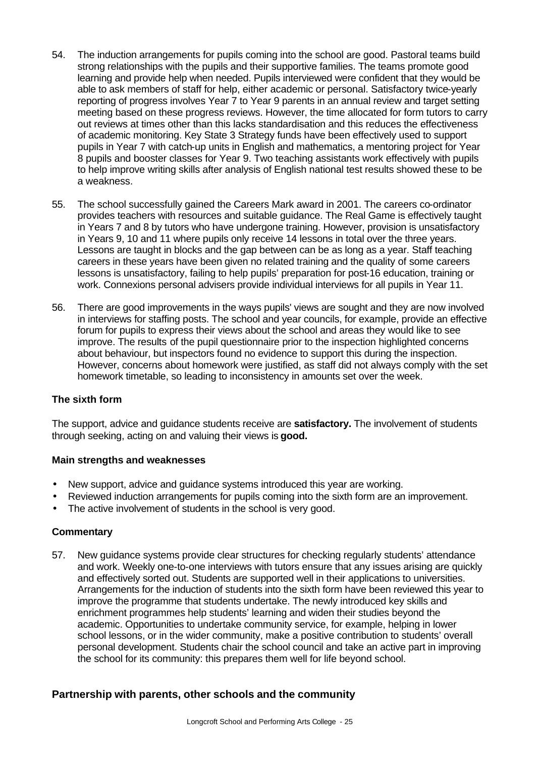- 54. The induction arrangements for pupils coming into the school are good. Pastoral teams build strong relationships with the pupils and their supportive families. The teams promote good learning and provide help when needed. Pupils interviewed were confident that they would be able to ask members of staff for help, either academic or personal. Satisfactory twice-yearly reporting of progress involves Year 7 to Year 9 parents in an annual review and target setting meeting based on these progress reviews. However, the time allocated for form tutors to carry out reviews at times other than this lacks standardisation and this reduces the effectiveness of academic monitoring. Key State 3 Strategy funds have been effectively used to support pupils in Year 7 with catch-up units in English and mathematics, a mentoring project for Year 8 pupils and booster classes for Year 9. Two teaching assistants work effectively with pupils to help improve writing skills after analysis of English national test results showed these to be a weakness.
- 55. The school successfully gained the Careers Mark award in 2001. The careers co-ordinator provides teachers with resources and suitable guidance. The Real Game is effectively taught in Years 7 and 8 by tutors who have undergone training. However, provision is unsatisfactory in Years 9, 10 and 11 where pupils only receive 14 lessons in total over the three years. Lessons are taught in blocks and the gap between can be as long as a year. Staff teaching careers in these years have been given no related training and the quality of some careers lessons is unsatisfactory, failing to help pupils' preparation for post-16 education, training or work. Connexions personal advisers provide individual interviews for all pupils in Year 11.
- 56. There are good improvements in the ways pupils' views are sought and they are now involved in interviews for staffing posts. The school and year councils, for example, provide an effective forum for pupils to express their views about the school and areas they would like to see improve. The results of the pupil questionnaire prior to the inspection highlighted concerns about behaviour, but inspectors found no evidence to support this during the inspection. However, concerns about homework were justified, as staff did not always comply with the set homework timetable, so leading to inconsistency in amounts set over the week.

#### **The sixth form**

The support, advice and guidance students receive are **satisfactory.** The involvement of students through seeking, acting on and valuing their views is **good.**

#### **Main strengths and weaknesses**

- New support, advice and guidance systems introduced this year are working.
- Reviewed induction arrangements for pupils coming into the sixth form are an improvement.
- The active involvement of students in the school is very good.

#### **Commentary**

57. New guidance systems provide clear structures for checking regularly students' attendance and work. Weekly one-to-one interviews with tutors ensure that any issues arising are quickly and effectively sorted out. Students are supported well in their applications to universities. Arrangements for the induction of students into the sixth form have been reviewed this year to improve the programme that students undertake. The newly introduced key skills and enrichment programmes help students' learning and widen their studies beyond the academic. Opportunities to undertake community service, for example, helping in lower school lessons, or in the wider community, make a positive contribution to students' overall personal development. Students chair the school council and take an active part in improving the school for its community: this prepares them well for life beyond school.

# **Partnership with parents, other schools and the community**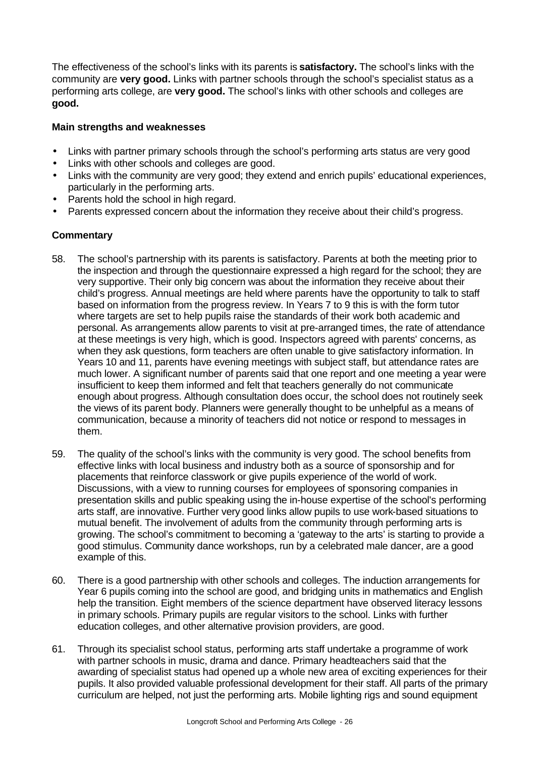The effectiveness of the school's links with its parents is **satisfactory.** The school's links with the community are **very good.** Links with partner schools through the school's specialist status as a performing arts college, are **very good.** The school's links with other schools and colleges are **good.** 

### **Main strengths and weaknesses**

- Links with partner primary schools through the school's performing arts status are very good
- Links with other schools and colleges are good.
- Links with the community are very good; they extend and enrich pupils' educational experiences, particularly in the performing arts.
- Parents hold the school in high regard.
- Parents expressed concern about the information they receive about their child's progress.

- 58. The school's partnership with its parents is satisfactory. Parents at both the meeting prior to the inspection and through the questionnaire expressed a high regard for the school; they are very supportive. Their only big concern was about the information they receive about their child's progress. Annual meetings are held where parents have the opportunity to talk to staff based on information from the progress review. In Years 7 to 9 this is with the form tutor where targets are set to help pupils raise the standards of their work both academic and personal. As arrangements allow parents to visit at pre-arranged times, the rate of attendance at these meetings is very high, which is good. Inspectors agreed with parents' concerns, as when they ask questions, form teachers are often unable to give satisfactory information. In Years 10 and 11, parents have evening meetings with subject staff, but attendance rates are much lower. A significant number of parents said that one report and one meeting a year were insufficient to keep them informed and felt that teachers generally do not communicate enough about progress. Although consultation does occur, the school does not routinely seek the views of its parent body. Planners were generally thought to be unhelpful as a means of communication, because a minority of teachers did not notice or respond to messages in them.
- 59. The quality of the school's links with the community is very good. The school benefits from effective links with local business and industry both as a source of sponsorship and for placements that reinforce classwork or give pupils experience of the world of work. Discussions, with a view to running courses for employees of sponsoring companies in presentation skills and public speaking using the in-house expertise of the school's performing arts staff, are innovative. Further very good links allow pupils to use work-based situations to mutual benefit. The involvement of adults from the community through performing arts is growing. The school's commitment to becoming a 'gateway to the arts' is starting to provide a good stimulus. Community dance workshops, run by a celebrated male dancer, are a good example of this.
- 60. There is a good partnership with other schools and colleges. The induction arrangements for Year 6 pupils coming into the school are good, and bridging units in mathematics and English help the transition. Eight members of the science department have observed literacy lessons in primary schools. Primary pupils are regular visitors to the school. Links with further education colleges, and other alternative provision providers, are good.
- 61. Through its specialist school status, performing arts staff undertake a programme of work with partner schools in music, drama and dance. Primary headteachers said that the awarding of specialist status had opened up a whole new area of exciting experiences for their pupils. It also provided valuable professional development for their staff. All parts of the primary curriculum are helped, not just the performing arts. Mobile lighting rigs and sound equipment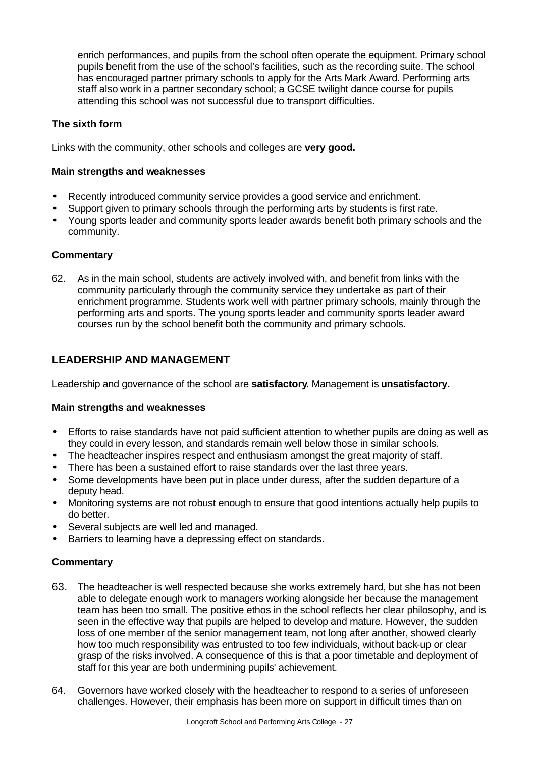enrich performances, and pupils from the school often operate the equipment. Primary school pupils benefit from the use of the school's facilities, such as the recording suite. The school has encouraged partner primary schools to apply for the Arts Mark Award. Performing arts staff also work in a partner secondary school; a GCSE twilight dance course for pupils attending this school was not successful due to transport difficulties.

### **The sixth form**

Links with the community, other schools and colleges are **very good.**

#### **Main strengths and weaknesses**

- Recently introduced community service provides a good service and enrichment.
- Support given to primary schools through the performing arts by students is first rate.
- Young sports leader and community sports leader awards benefit both primary schools and the community.

#### **Commentary**

62. As in the main school, students are actively involved with, and benefit from links with the community particularly through the community service they undertake as part of their enrichment programme. Students work well with partner primary schools, mainly through the performing arts and sports. The young sports leader and community sports leader award courses run by the school benefit both the community and primary schools.

# **LEADERSHIP AND MANAGEMENT**

Leadership and governance of the school are **satisfactory**. Management is **unsatisfactory.**

#### **Main strengths and weaknesses**

- Efforts to raise standards have not paid sufficient attention to whether pupils are doing as well as they could in every lesson, and standards remain well below those in similar schools.
- The headteacher inspires respect and enthusiasm amongst the great majority of staff.
- There has been a sustained effort to raise standards over the last three years.
- Some developments have been put in place under duress, after the sudden departure of a deputy head.
- Monitoring systems are not robust enough to ensure that good intentions actually help pupils to do better.
- Several subjects are well led and managed.
- Barriers to learning have a depressing effect on standards.

- 63. The headteacher is well respected because she works extremely hard, but she has not been able to delegate enough work to managers working alongside her because the management team has been too small. The positive ethos in the school reflects her clear philosophy, and is seen in the effective way that pupils are helped to develop and mature. However, the sudden loss of one member of the senior management team, not long after another, showed clearly how too much responsibility was entrusted to too few individuals, without back-up or clear grasp of the risks involved. A consequence of this is that a poor timetable and deployment of staff for this year are both undermining pupils' achievement.
- 64. Governors have worked closely with the headteacher to respond to a series of unforeseen challenges. However, their emphasis has been more on support in difficult times than on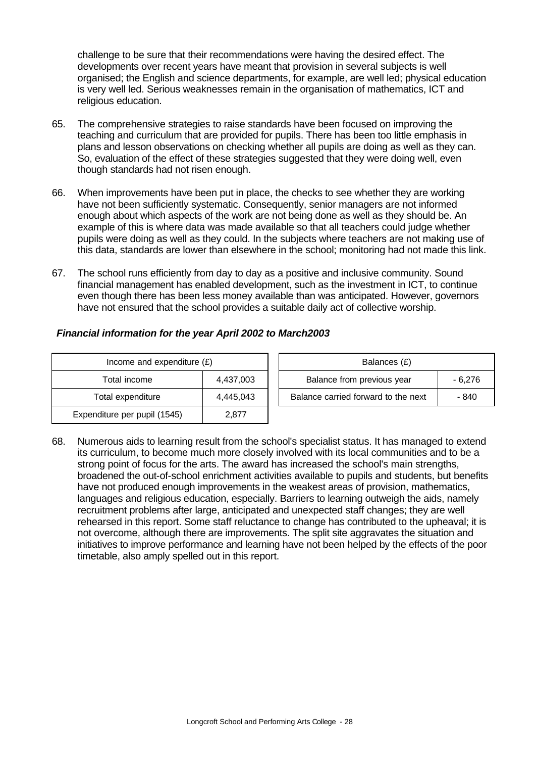challenge to be sure that their recommendations were having the desired effect. The developments over recent years have meant that provision in several subjects is well organised; the English and science departments, for example, are well led; physical education is very well led. Serious weaknesses remain in the organisation of mathematics, ICT and religious education.

- 65. The comprehensive strategies to raise standards have been focused on improving the teaching and curriculum that are provided for pupils. There has been too little emphasis in plans and lesson observations on checking whether all pupils are doing as well as they can. So, evaluation of the effect of these strategies suggested that they were doing well, even though standards had not risen enough.
- 66. When improvements have been put in place, the checks to see whether they are working have not been sufficiently systematic. Consequently, senior managers are not informed enough about which aspects of the work are not being done as well as they should be. An example of this is where data was made available so that all teachers could judge whether pupils were doing as well as they could. In the subjects where teachers are not making use of this data, standards are lower than elsewhere in the school; monitoring had not made this link.
- 67. The school runs efficiently from day to day as a positive and inclusive community. Sound financial management has enabled development, such as the investment in ICT, to continue even though there has been less money available than was anticipated. However, governors have not ensured that the school provides a suitable daily act of collective worship.

| Income and expenditure $(E)$ |           | Balances (£)                     |
|------------------------------|-----------|----------------------------------|
| Total income                 | 4,437,003 | Balance from previous year       |
| Total expenditure            | 4,445,043 | Balance carried forward to the i |
| Expenditure per pupil (1545) | 2,877     |                                  |

| Financial information for the year April 2002 to March2003 |
|------------------------------------------------------------|
|------------------------------------------------------------|

| Income and expenditure $(E)$ |           | Balances (£)                        |         |
|------------------------------|-----------|-------------------------------------|---------|
| Total income                 | 4.437.003 | Balance from previous year          | - 6.276 |
| Total expenditure            | 4,445,043 | Balance carried forward to the next | - 840   |

68. Numerous aids to learning result from the school's specialist status. It has managed to extend its curriculum, to become much more closely involved with its local communities and to be a strong point of focus for the arts. The award has increased the school's main strengths, broadened the out-of-school enrichment activities available to pupils and students, but benefits have not produced enough improvements in the weakest areas of provision, mathematics, languages and religious education, especially. Barriers to learning outweigh the aids, namely recruitment problems after large, anticipated and unexpected staff changes; they are well rehearsed in this report. Some staff reluctance to change has contributed to the upheaval; it is not overcome, although there are improvements. The split site aggravates the situation and initiatives to improve performance and learning have not been helped by the effects of the poor timetable, also amply spelled out in this report.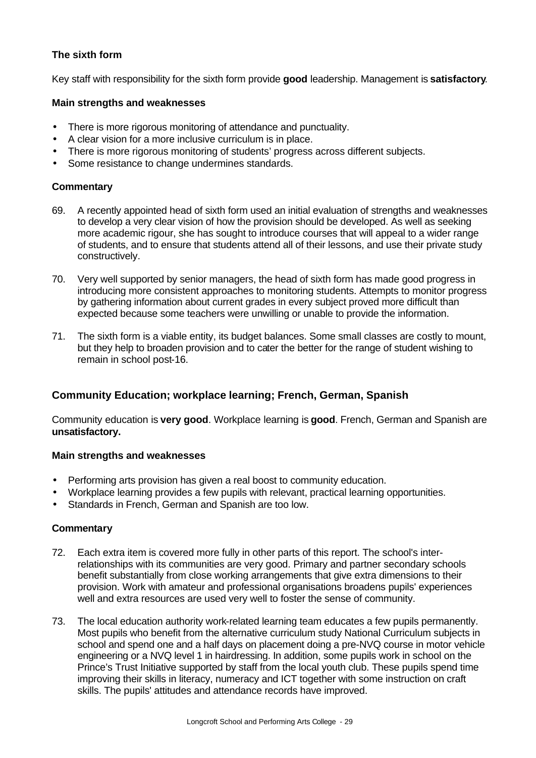# **The sixth form**

Key staff with responsibility for the sixth form provide **good** leadership. Management is **satisfactory**.

#### **Main strengths and weaknesses**

- There is more rigorous monitoring of attendance and punctuality.
- A clear vision for a more inclusive curriculum is in place.
- There is more rigorous monitoring of students' progress across different subjects.
- Some resistance to change undermines standards.

#### **Commentary**

- 69. A recently appointed head of sixth form used an initial evaluation of strengths and weaknesses to develop a very clear vision of how the provision should be developed. As well as seeking more academic rigour, she has sought to introduce courses that will appeal to a wider range of students, and to ensure that students attend all of their lessons, and use their private study constructively.
- 70. Very well supported by senior managers, the head of sixth form has made good progress in introducing more consistent approaches to monitoring students. Attempts to monitor progress by gathering information about current grades in every subject proved more difficult than expected because some teachers were unwilling or unable to provide the information.
- 71. The sixth form is a viable entity, its budget balances. Some small classes are costly to mount, but they help to broaden provision and to cater the better for the range of student wishing to remain in school post-16.

# **Community Education; workplace learning; French, German, Spanish**

Community education is **very good**. Workplace learning is **good**. French, German and Spanish are **unsatisfactory.**

#### **Main strengths and weaknesses**

- Performing arts provision has given a real boost to community education.
- Workplace learning provides a few pupils with relevant, practical learning opportunities.
- Standards in French, German and Spanish are too low.

- 72. Each extra item is covered more fully in other parts of this report. The school's interrelationships with its communities are very good. Primary and partner secondary schools benefit substantially from close working arrangements that give extra dimensions to their provision. Work with amateur and professional organisations broadens pupils' experiences well and extra resources are used very well to foster the sense of community.
- 73. The local education authority work-related learning team educates a few pupils permanently. Most pupils who benefit from the alternative curriculum study National Curriculum subjects in school and spend one and a half days on placement doing a pre-NVQ course in motor vehicle engineering or a NVQ level 1 in hairdressing. In addition, some pupils work in school on the Prince's Trust Initiative supported by staff from the local youth club. These pupils spend time improving their skills in literacy, numeracy and ICT together with some instruction on craft skills. The pupils' attitudes and attendance records have improved.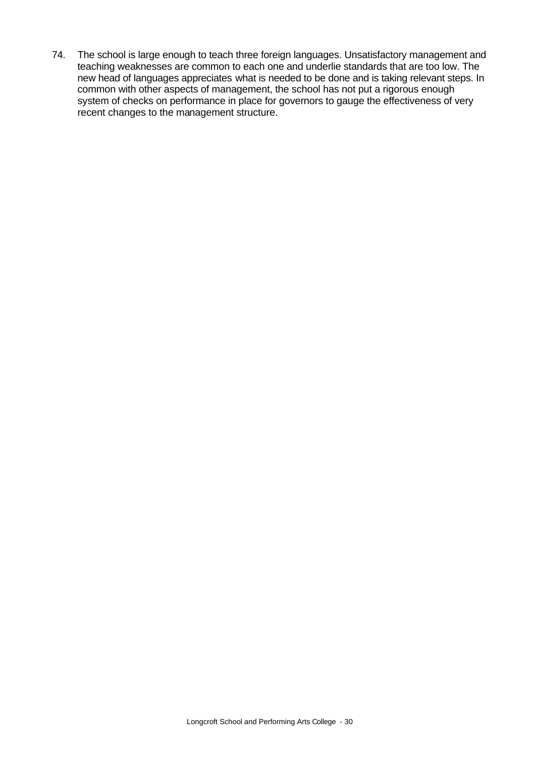74. The school is large enough to teach three foreign languages. Unsatisfactory management and teaching weaknesses are common to each one and underlie standards that are too low. The new head of languages appreciates what is needed to be done and is taking relevant steps. In common with other aspects of management, the school has not put a rigorous enough system of checks on performance in place for governors to gauge the effectiveness of very recent changes to the management structure.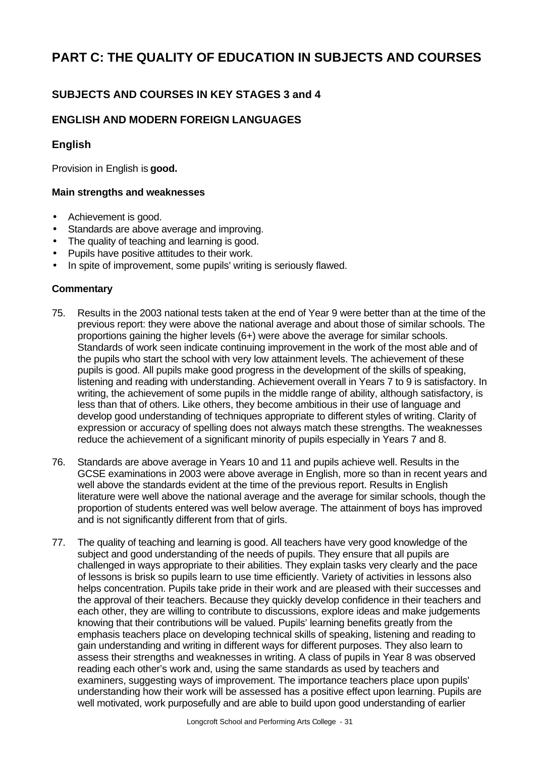# **PART C: THE QUALITY OF EDUCATION IN SUBJECTS AND COURSES**

# **SUBJECTS AND COURSES IN KEY STAGES 3 and 4**

# **ENGLISH AND MODERN FOREIGN LANGUAGES**

# **English**

Provision in English is **good.**

#### **Main strengths and weaknesses**

- Achievement is good.
- Standards are above average and improving.
- The quality of teaching and learning is good.
- Pupils have positive attitudes to their work.
- In spite of improvement, some pupils' writing is seriously flawed.

- 75. Results in the 2003 national tests taken at the end of Year 9 were better than at the time of the previous report: they were above the national average and about those of similar schools. The proportions gaining the higher levels (6+) were above the average for similar schools. Standards of work seen indicate continuing improvement in the work of the most able and of the pupils who start the school with very low attainment levels. The achievement of these pupils is good. All pupils make good progress in the development of the skills of speaking, listening and reading with understanding. Achievement overall in Years 7 to 9 is satisfactory. In writing, the achievement of some pupils in the middle range of ability, although satisfactory, is less than that of others. Like others, they become ambitious in their use of language and develop good understanding of techniques appropriate to different styles of writing. Clarity of expression or accuracy of spelling does not always match these strengths. The weaknesses reduce the achievement of a significant minority of pupils especially in Years 7 and 8.
- 76. Standards are above average in Years 10 and 11 and pupils achieve well. Results in the GCSE examinations in 2003 were above average in English, more so than in recent years and well above the standards evident at the time of the previous report. Results in English literature were well above the national average and the average for similar schools, though the proportion of students entered was well below average. The attainment of boys has improved and is not significantly different from that of girls.
- 77. The quality of teaching and learning is good. All teachers have very good knowledge of the subject and good understanding of the needs of pupils. They ensure that all pupils are challenged in ways appropriate to their abilities. They explain tasks very clearly and the pace of lessons is brisk so pupils learn to use time efficiently. Variety of activities in lessons also helps concentration. Pupils take pride in their work and are pleased with their successes and the approval of their teachers. Because they quickly develop confidence in their teachers and each other, they are willing to contribute to discussions, explore ideas and make judgements knowing that their contributions will be valued. Pupils' learning benefits greatly from the emphasis teachers place on developing technical skills of speaking, listening and reading to gain understanding and writing in different ways for different purposes. They also learn to assess their strengths and weaknesses in writing. A class of pupils in Year 8 was observed reading each other's work and, using the same standards as used by teachers and examiners, suggesting ways of improvement. The importance teachers place upon pupils' understanding how their work will be assessed has a positive effect upon learning. Pupils are well motivated, work purposefully and are able to build upon good understanding of earlier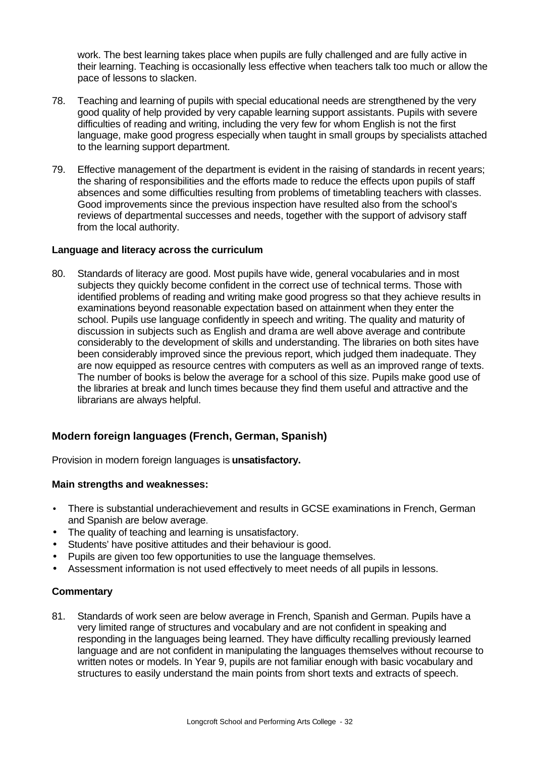work. The best learning takes place when pupils are fully challenged and are fully active in their learning. Teaching is occasionally less effective when teachers talk too much or allow the pace of lessons to slacken.

- 78. Teaching and learning of pupils with special educational needs are strengthened by the very good quality of help provided by very capable learning support assistants. Pupils with severe difficulties of reading and writing, including the very few for whom English is not the first language, make good progress especially when taught in small groups by specialists attached to the learning support department.
- 79. Effective management of the department is evident in the raising of standards in recent years; the sharing of responsibilities and the efforts made to reduce the effects upon pupils of staff absences and some difficulties resulting from problems of timetabling teachers with classes. Good improvements since the previous inspection have resulted also from the school's reviews of departmental successes and needs, together with the support of advisory staff from the local authority.

#### **Language and literacy across the curriculum**

80. Standards of literacy are good. Most pupils have wide, general vocabularies and in most subjects they quickly become confident in the correct use of technical terms. Those with identified problems of reading and writing make good progress so that they achieve results in examinations beyond reasonable expectation based on attainment when they enter the school. Pupils use language confidently in speech and writing. The quality and maturity of discussion in subjects such as English and drama are well above average and contribute considerably to the development of skills and understanding. The libraries on both sites have been considerably improved since the previous report, which judged them inadequate. They are now equipped as resource centres with computers as well as an improved range of texts. The number of books is below the average for a school of this size. Pupils make good use of the libraries at break and lunch times because they find them useful and attractive and the librarians are always helpful.

# **Modern foreign languages (French, German, Spanish)**

Provision in modern foreign languages is **unsatisfactory.**

#### **Main strengths and weaknesses:**

- There is substantial underachievement and results in GCSE examinations in French, German and Spanish are below average.
- The quality of teaching and learning is unsatisfactory.
- Students' have positive attitudes and their behaviour is good.
- Pupils are given too few opportunities to use the language themselves.
- Assessment information is not used effectively to meet needs of all pupils in lessons.

#### **Commentary**

81. Standards of work seen are below average in French, Spanish and German. Pupils have a very limited range of structures and vocabulary and are not confident in speaking and responding in the languages being learned. They have difficulty recalling previously learned language and are not confident in manipulating the languages themselves without recourse to written notes or models. In Year 9, pupils are not familiar enough with basic vocabulary and structures to easily understand the main points from short texts and extracts of speech.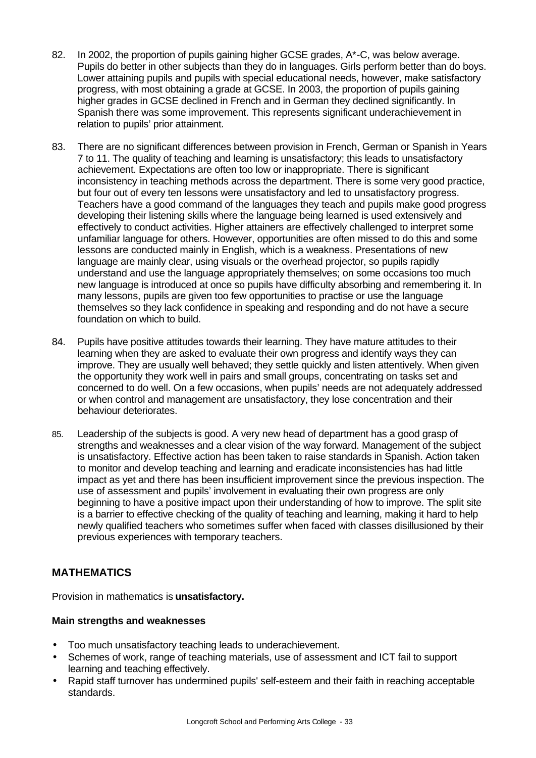- 82. In 2002, the proportion of pupils gaining higher GCSE grades, A\*-C, was below average. Pupils do better in other subjects than they do in languages. Girls perform better than do boys. Lower attaining pupils and pupils with special educational needs, however, make satisfactory progress, with most obtaining a grade at GCSE. In 2003, the proportion of pupils gaining higher grades in GCSE declined in French and in German they declined significantly. In Spanish there was some improvement. This represents significant underachievement in relation to pupils' prior attainment.
- 83. There are no significant differences between provision in French, German or Spanish in Years 7 to 11. The quality of teaching and learning is unsatisfactory; this leads to unsatisfactory achievement. Expectations are often too low or inappropriate. There is significant inconsistency in teaching methods across the department. There is some very good practice, but four out of every ten lessons were unsatisfactory and led to unsatisfactory progress. Teachers have a good command of the languages they teach and pupils make good progress developing their listening skills where the language being learned is used extensively and effectively to conduct activities. Higher attainers are effectively challenged to interpret some unfamiliar language for others. However, opportunities are often missed to do this and some lessons are conducted mainly in English, which is a weakness. Presentations of new language are mainly clear, using visuals or the overhead projector, so pupils rapidly understand and use the language appropriately themselves; on some occasions too much new language is introduced at once so pupils have difficulty absorbing and remembering it. In many lessons, pupils are given too few opportunities to practise or use the language themselves so they lack confidence in speaking and responding and do not have a secure foundation on which to build.
- 84. Pupils have positive attitudes towards their learning. They have mature attitudes to their learning when they are asked to evaluate their own progress and identify ways they can improve. They are usually well behaved; they settle quickly and listen attentively. When given the opportunity they work well in pairs and small groups, concentrating on tasks set and concerned to do well. On a few occasions, when pupils' needs are not adequately addressed or when control and management are unsatisfactory, they lose concentration and their behaviour deteriorates.
- 85. Leadership of the subjects is good. A very new head of department has a good grasp of strengths and weaknesses and a clear vision of the way forward. Management of the subject is unsatisfactory. Effective action has been taken to raise standards in Spanish. Action taken to monitor and develop teaching and learning and eradicate inconsistencies has had little impact as yet and there has been insufficient improvement since the previous inspection. The use of assessment and pupils' involvement in evaluating their own progress are only beginning to have a positive impact upon their understanding of how to improve. The split site is a barrier to effective checking of the quality of teaching and learning, making it hard to help newly qualified teachers who sometimes suffer when faced with classes disillusioned by their previous experiences with temporary teachers.

# **MATHEMATICS**

Provision in mathematics is **unsatisfactory.**

# **Main strengths and weaknesses**

- Too much unsatisfactory teaching leads to underachievement.
- Schemes of work, range of teaching materials, use of assessment and ICT fail to support learning and teaching effectively.
- Rapid staff turnover has undermined pupils' self-esteem and their faith in reaching acceptable standards.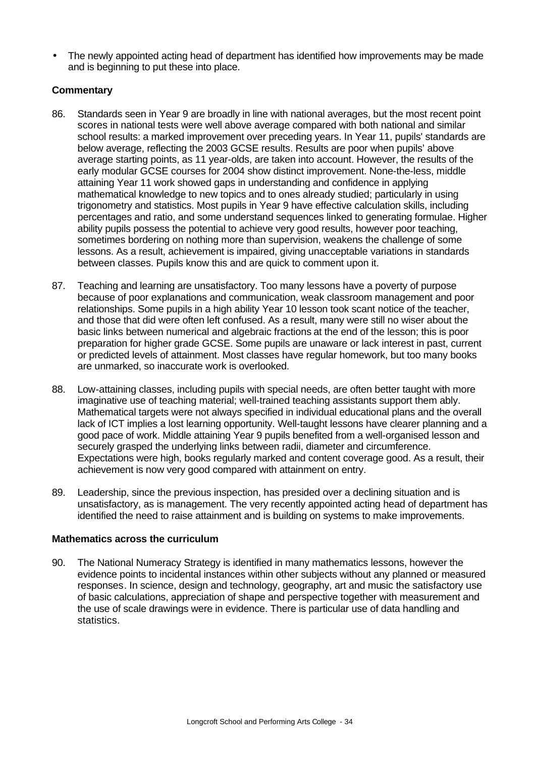• The newly appointed acting head of department has identified how improvements may be made and is beginning to put these into place.

### **Commentary**

- 86. Standards seen in Year 9 are broadly in line with national averages, but the most recent point scores in national tests were well above average compared with both national and similar school results: a marked improvement over preceding years. In Year 11, pupils' standards are below average, reflecting the 2003 GCSE results. Results are poor when pupils' above average starting points, as 11 year-olds, are taken into account. However, the results of the early modular GCSE courses for 2004 show distinct improvement. None-the-less, middle attaining Year 11 work showed gaps in understanding and confidence in applying mathematical knowledge to new topics and to ones already studied; particularly in using trigonometry and statistics. Most pupils in Year 9 have effective calculation skills, including percentages and ratio, and some understand sequences linked to generating formulae. Higher ability pupils possess the potential to achieve very good results, however poor teaching, sometimes bordering on nothing more than supervision, weakens the challenge of some lessons. As a result, achievement is impaired, giving unacceptable variations in standards between classes. Pupils know this and are quick to comment upon it.
- 87. Teaching and learning are unsatisfactory. Too many lessons have a poverty of purpose because of poor explanations and communication, weak classroom management and poor relationships. Some pupils in a high ability Year 10 lesson took scant notice of the teacher, and those that did were often left confused. As a result, many were still no wiser about the basic links between numerical and algebraic fractions at the end of the lesson; this is poor preparation for higher grade GCSE. Some pupils are unaware or lack interest in past, current or predicted levels of attainment. Most classes have regular homework, but too many books are unmarked, so inaccurate work is overlooked.
- 88. Low-attaining classes, including pupils with special needs, are often better taught with more imaginative use of teaching material; well-trained teaching assistants support them ably. Mathematical targets were not always specified in individual educational plans and the overall lack of ICT implies a lost learning opportunity. Well-taught lessons have clearer planning and a good pace of work. Middle attaining Year 9 pupils benefited from a well-organised lesson and securely grasped the underlying links between radii, diameter and circumference. Expectations were high, books regularly marked and content coverage good. As a result, their achievement is now very good compared with attainment on entry.
- 89. Leadership, since the previous inspection, has presided over a declining situation and is unsatisfactory, as is management. The very recently appointed acting head of department has identified the need to raise attainment and is building on systems to make improvements.

#### **Mathematics across the curriculum**

90. The National Numeracy Strategy is identified in many mathematics lessons, however the evidence points to incidental instances within other subjects without any planned or measured responses. In science, design and technology, geography, art and music the satisfactory use of basic calculations, appreciation of shape and perspective together with measurement and the use of scale drawings were in evidence. There is particular use of data handling and statistics.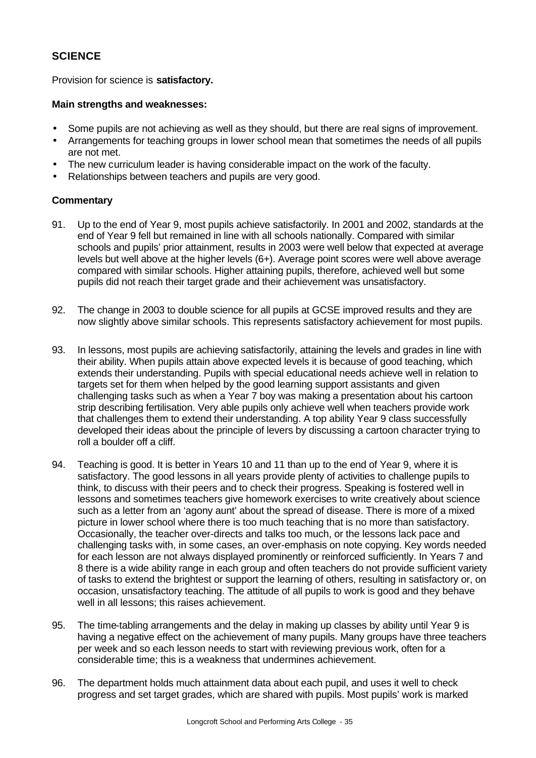# **SCIENCE**

Provision for science is **satisfactory.**

### **Main strengths and weaknesses:**

- Some pupils are not achieving as well as they should, but there are real signs of improvement.
- Arrangements for teaching groups in lower school mean that sometimes the needs of all pupils are not met.
- The new curriculum leader is having considerable impact on the work of the faculty.
- Relationships between teachers and pupils are very good.

- 91. Up to the end of Year 9, most pupils achieve satisfactorily. In 2001 and 2002, standards at the end of Year 9 fell but remained in line with all schools nationally. Compared with similar schools and pupils' prior attainment, results in 2003 were well below that expected at average levels but well above at the higher levels (6+). Average point scores were well above average compared with similar schools. Higher attaining pupils, therefore, achieved well but some pupils did not reach their target grade and their achievement was unsatisfactory.
- 92. The change in 2003 to double science for all pupils at GCSE improved results and they are now slightly above similar schools. This represents satisfactory achievement for most pupils.
- 93. In lessons, most pupils are achieving satisfactorily, attaining the levels and grades in line with their ability. When pupils attain above expected levels it is because of good teaching, which extends their understanding. Pupils with special educational needs achieve well in relation to targets set for them when helped by the good learning support assistants and given challenging tasks such as when a Year 7 boy was making a presentation about his cartoon strip describing fertilisation. Very able pupils only achieve well when teachers provide work that challenges them to extend their understanding. A top ability Year 9 class successfully developed their ideas about the principle of levers by discussing a cartoon character trying to roll a boulder off a cliff.
- 94. Teaching is good. It is better in Years 10 and 11 than up to the end of Year 9, where it is satisfactory. The good lessons in all years provide plenty of activities to challenge pupils to think, to discuss with their peers and to check their progress. Speaking is fostered well in lessons and sometimes teachers give homework exercises to write creatively about science such as a letter from an 'agony aunt' about the spread of disease. There is more of a mixed picture in lower school where there is too much teaching that is no more than satisfactory. Occasionally, the teacher over-directs and talks too much, or the lessons lack pace and challenging tasks with, in some cases, an over-emphasis on note copying. Key words needed for each lesson are not always displayed prominently or reinforced sufficiently. In Years 7 and 8 there is a wide ability range in each group and often teachers do not provide sufficient variety of tasks to extend the brightest or support the learning of others, resulting in satisfactory or, on occasion, unsatisfactory teaching. The attitude of all pupils to work is good and they behave well in all lessons; this raises achievement.
- 95. The time-tabling arrangements and the delay in making up classes by ability until Year 9 is having a negative effect on the achievement of many pupils. Many groups have three teachers per week and so each lesson needs to start with reviewing previous work, often for a considerable time; this is a weakness that undermines achievement.
- 96. The department holds much attainment data about each pupil, and uses it well to check progress and set target grades, which are shared with pupils. Most pupils' work is marked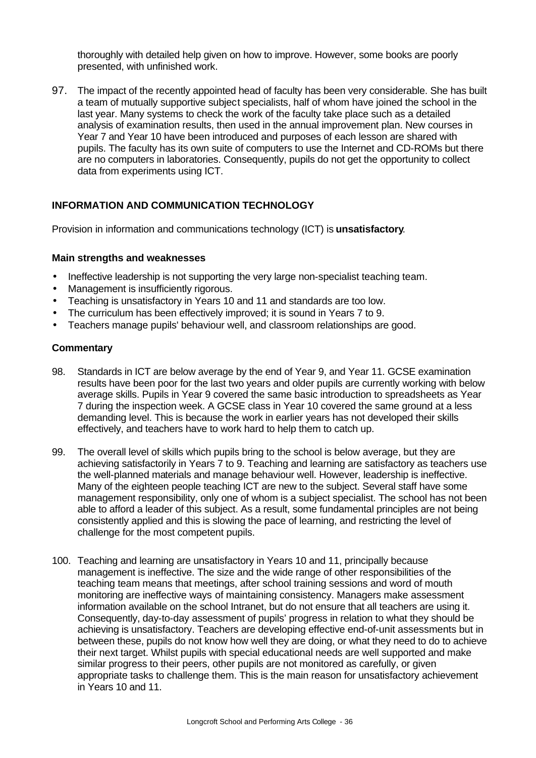thoroughly with detailed help given on how to improve. However, some books are poorly presented, with unfinished work.

97. The impact of the recently appointed head of faculty has been very considerable. She has built a team of mutually supportive subject specialists, half of whom have joined the school in the last year. Many systems to check the work of the faculty take place such as a detailed analysis of examination results, then used in the annual improvement plan. New courses in Year 7 and Year 10 have been introduced and purposes of each lesson are shared with pupils. The faculty has its own suite of computers to use the Internet and CD-ROMs but there are no computers in laboratories. Consequently, pupils do not get the opportunity to collect data from experiments using ICT.

### **INFORMATION AND COMMUNICATION TECHNOLOGY**

Provision in information and communications technology (ICT) is **unsatisfactory**.

#### **Main strengths and weaknesses**

- Ineffective leadership is not supporting the very large non-specialist teaching team.
- Management is insufficiently rigorous.
- Teaching is unsatisfactory in Years 10 and 11 and standards are too low.
- The curriculum has been effectively improved; it is sound in Years 7 to 9.
- Teachers manage pupils' behaviour well, and classroom relationships are good.

- 98. Standards in ICT are below average by the end of Year 9, and Year 11. GCSE examination results have been poor for the last two years and older pupils are currently working with below average skills. Pupils in Year 9 covered the same basic introduction to spreadsheets as Year 7 during the inspection week. A GCSE class in Year 10 covered the same ground at a less demanding level. This is because the work in earlier years has not developed their skills effectively, and teachers have to work hard to help them to catch up.
- 99. The overall level of skills which pupils bring to the school is below average, but they are achieving satisfactorily in Years 7 to 9. Teaching and learning are satisfactory as teachers use the well-planned materials and manage behaviour well. However, leadership is ineffective. Many of the eighteen people teaching ICT are new to the subject. Several staff have some management responsibility, only one of whom is a subject specialist. The school has not been able to afford a leader of this subject. As a result, some fundamental principles are not being consistently applied and this is slowing the pace of learning, and restricting the level of challenge for the most competent pupils.
- 100. Teaching and learning are unsatisfactory in Years 10 and 11, principally because management is ineffective. The size and the wide range of other responsibilities of the teaching team means that meetings, after school training sessions and word of mouth monitoring are ineffective ways of maintaining consistency. Managers make assessment information available on the school Intranet, but do not ensure that all teachers are using it. Consequently, day-to-day assessment of pupils' progress in relation to what they should be achieving is unsatisfactory. Teachers are developing effective end-of-unit assessments but in between these, pupils do not know how well they are doing, or what they need to do to achieve their next target. Whilst pupils with special educational needs are well supported and make similar progress to their peers, other pupils are not monitored as carefully, or given appropriate tasks to challenge them. This is the main reason for unsatisfactory achievement in Years 10 and 11.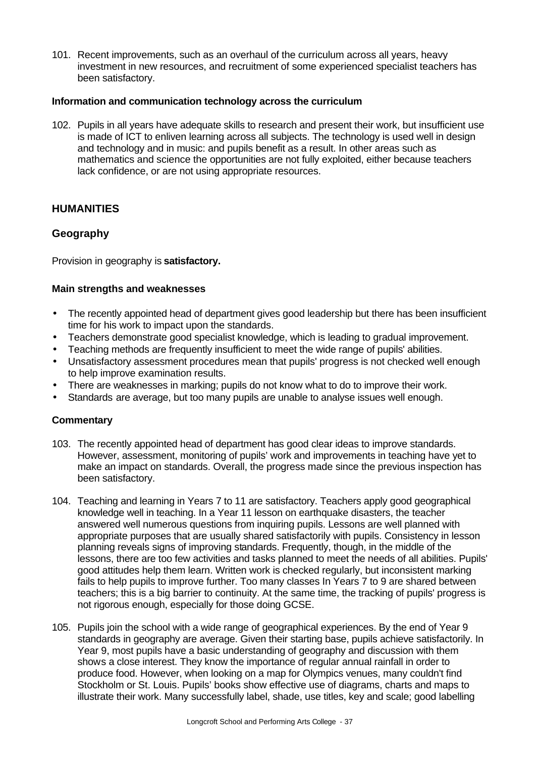101. Recent improvements, such as an overhaul of the curriculum across all years, heavy investment in new resources, and recruitment of some experienced specialist teachers has been satisfactory.

### **Information and communication technology across the curriculum**

102. Pupils in all years have adequate skills to research and present their work, but insufficient use is made of ICT to enliven learning across all subjects. The technology is used well in design and technology and in music: and pupils benefit as a result. In other areas such as mathematics and science the opportunities are not fully exploited, either because teachers lack confidence, or are not using appropriate resources.

# **HUMANITIES**

# **Geography**

Provision in geography is **satisfactory.**

#### **Main strengths and weaknesses**

- The recently appointed head of department gives good leadership but there has been insufficient time for his work to impact upon the standards.
- Teachers demonstrate good specialist knowledge, which is leading to gradual improvement.
- Teaching methods are frequently insufficient to meet the wide range of pupils' abilities.
- Unsatisfactory assessment procedures mean that pupils' progress is not checked well enough to help improve examination results.
- There are weaknesses in marking; pupils do not know what to do to improve their work.
- Standards are average, but too many pupils are unable to analyse issues well enough.

- 103. The recently appointed head of department has good clear ideas to improve standards. However, assessment, monitoring of pupils' work and improvements in teaching have yet to make an impact on standards. Overall, the progress made since the previous inspection has been satisfactory.
- 104. Teaching and learning in Years 7 to 11 are satisfactory. Teachers apply good geographical knowledge well in teaching. In a Year 11 lesson on earthquake disasters, the teacher answered well numerous questions from inquiring pupils. Lessons are well planned with appropriate purposes that are usually shared satisfactorily with pupils. Consistency in lesson planning reveals signs of improving standards. Frequently, though, in the middle of the lessons, there are too few activities and tasks planned to meet the needs of all abilities. Pupils' good attitudes help them learn. Written work is checked regularly, but inconsistent marking fails to help pupils to improve further. Too many classes In Years 7 to 9 are shared between teachers; this is a big barrier to continuity. At the same time, the tracking of pupils' progress is not rigorous enough, especially for those doing GCSE.
- 105. Pupils join the school with a wide range of geographical experiences. By the end of Year 9 standards in geography are average. Given their starting base, pupils achieve satisfactorily. In Year 9, most pupils have a basic understanding of geography and discussion with them shows a close interest. They know the importance of regular annual rainfall in order to produce food. However, when looking on a map for Olympics venues, many couldn't find Stockholm or St. Louis. Pupils' books show effective use of diagrams, charts and maps to illustrate their work. Many successfully label, shade, use titles, key and scale; good labelling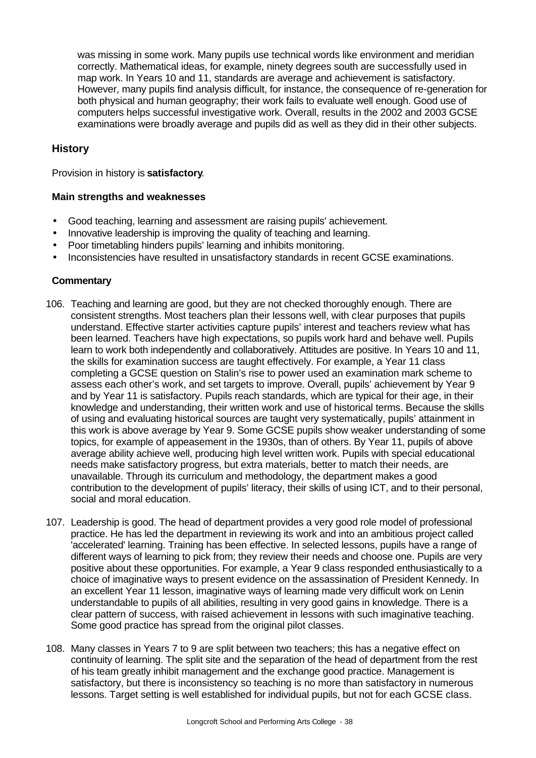was missing in some work. Many pupils use technical words like environment and meridian correctly. Mathematical ideas, for example, ninety degrees south are successfully used in map work. In Years 10 and 11, standards are average and achievement is satisfactory. However, many pupils find analysis difficult, for instance, the consequence of re-generation for both physical and human geography; their work fails to evaluate well enough. Good use of computers helps successful investigative work. Overall, results in the 2002 and 2003 GCSE examinations were broadly average and pupils did as well as they did in their other subjects.

# **History**

Provision in history is **satisfactory**.

#### **Main strengths and weaknesses**

- Good teaching, learning and assessment are raising pupils' achievement.
- Innovative leadership is improving the quality of teaching and learning.
- Poor timetabling hinders pupils' learning and inhibits monitoring.
- Inconsistencies have resulted in unsatisfactory standards in recent GCSE examinations.

- 106. Teaching and learning are good, but they are not checked thoroughly enough. There are consistent strengths. Most teachers plan their lessons well, with clear purposes that pupils understand. Effective starter activities capture pupils' interest and teachers review what has been learned. Teachers have high expectations, so pupils work hard and behave well. Pupils learn to work both independently and collaboratively. Attitudes are positive. In Years 10 and 11, the skills for examination success are taught effectively. For example, a Year 11 class completing a GCSE question on Stalin's rise to power used an examination mark scheme to assess each other's work, and set targets to improve. Overall, pupils' achievement by Year 9 and by Year 11 is satisfactory. Pupils reach standards, which are typical for their age, in their knowledge and understanding, their written work and use of historical terms. Because the skills of using and evaluating historical sources are taught very systematically, pupils' attainment in this work is above average by Year 9. Some GCSE pupils show weaker understanding of some topics, for example of appeasement in the 1930s, than of others. By Year 11, pupils of above average ability achieve well, producing high level written work. Pupils with special educational needs make satisfactory progress, but extra materials, better to match their needs, are unavailable. Through its curriculum and methodology, the department makes a good contribution to the development of pupils' literacy, their skills of using ICT, and to their personal, social and moral education.
- 107. Leadership is good. The head of department provides a very good role model of professional practice. He has led the department in reviewing its work and into an ambitious project called 'accelerated' learning. Training has been effective. In selected lessons, pupils have a range of different ways of learning to pick from; they review their needs and choose one. Pupils are very positive about these opportunities. For example, a Year 9 class responded enthusiastically to a choice of imaginative ways to present evidence on the assassination of President Kennedy. In an excellent Year 11 lesson, imaginative ways of learning made very difficult work on Lenin understandable to pupils of all abilities, resulting in very good gains in knowledge. There is a clear pattern of success, with raised achievement in lessons with such imaginative teaching. Some good practice has spread from the original pilot classes.
- 108. Many classes in Years 7 to 9 are split between two teachers; this has a negative effect on continuity of learning. The split site and the separation of the head of department from the rest of his team greatly inhibit management and the exchange good practice. Management is satisfactory, but there is inconsistency so teaching is no more than satisfactory in numerous lessons. Target setting is well established for individual pupils, but not for each GCSE class.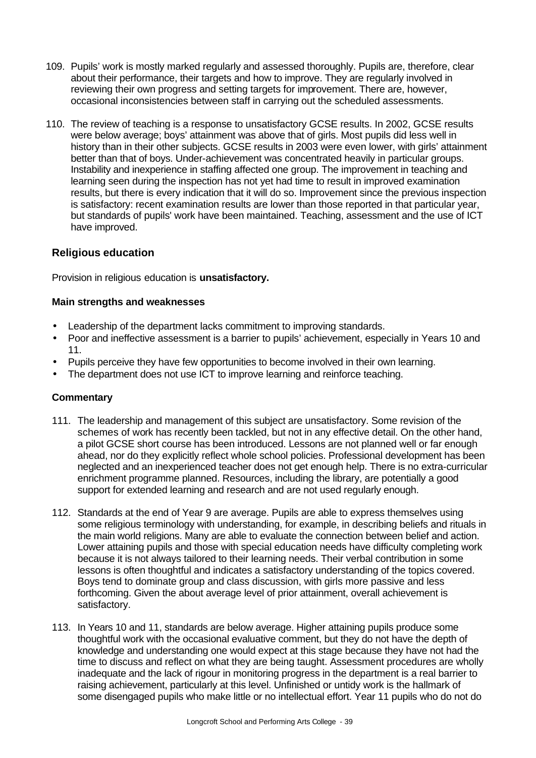- 109. Pupils' work is mostly marked regularly and assessed thoroughly. Pupils are, therefore, clear about their performance, their targets and how to improve. They are regularly involved in reviewing their own progress and setting targets for improvement. There are, however, occasional inconsistencies between staff in carrying out the scheduled assessments.
- 110. The review of teaching is a response to unsatisfactory GCSE results. In 2002, GCSE results were below average; boys' attainment was above that of girls. Most pupils did less well in history than in their other subjects. GCSE results in 2003 were even lower, with girls' attainment better than that of boys. Under-achievement was concentrated heavily in particular groups. Instability and inexperience in staffing affected one group. The improvement in teaching and learning seen during the inspection has not yet had time to result in improved examination results, but there is every indication that it will do so. Improvement since the previous inspection is satisfactory: recent examination results are lower than those reported in that particular year, but standards of pupils' work have been maintained. Teaching, assessment and the use of ICT have improved.

# **Religious education**

Provision in religious education is **unsatisfactory.** 

### **Main strengths and weaknesses**

- Leadership of the department lacks commitment to improving standards.
- Poor and ineffective assessment is a barrier to pupils' achievement, especially in Years 10 and 11.
- Pupils perceive they have few opportunities to become involved in their own learning.
- The department does not use ICT to improve learning and reinforce teaching.

- 111. The leadership and management of this subject are unsatisfactory. Some revision of the schemes of work has recently been tackled, but not in any effective detail. On the other hand, a pilot GCSE short course has been introduced. Lessons are not planned well or far enough ahead, nor do they explicitly reflect whole school policies. Professional development has been neglected and an inexperienced teacher does not get enough help. There is no extra-curricular enrichment programme planned. Resources, including the library, are potentially a good support for extended learning and research and are not used regularly enough.
- 112. Standards at the end of Year 9 are average. Pupils are able to express themselves using some religious terminology with understanding, for example, in describing beliefs and rituals in the main world religions. Many are able to evaluate the connection between belief and action. Lower attaining pupils and those with special education needs have difficulty completing work because it is not always tailored to their learning needs. Their verbal contribution in some lessons is often thoughtful and indicates a satisfactory understanding of the topics covered. Boys tend to dominate group and class discussion, with girls more passive and less forthcoming. Given the about average level of prior attainment, overall achievement is satisfactory.
- 113. In Years 10 and 11, standards are below average. Higher attaining pupils produce some thoughtful work with the occasional evaluative comment, but they do not have the depth of knowledge and understanding one would expect at this stage because they have not had the time to discuss and reflect on what they are being taught. Assessment procedures are wholly inadequate and the lack of rigour in monitoring progress in the department is a real barrier to raising achievement, particularly at this level. Unfinished or untidy work is the hallmark of some disengaged pupils who make little or no intellectual effort. Year 11 pupils who do not do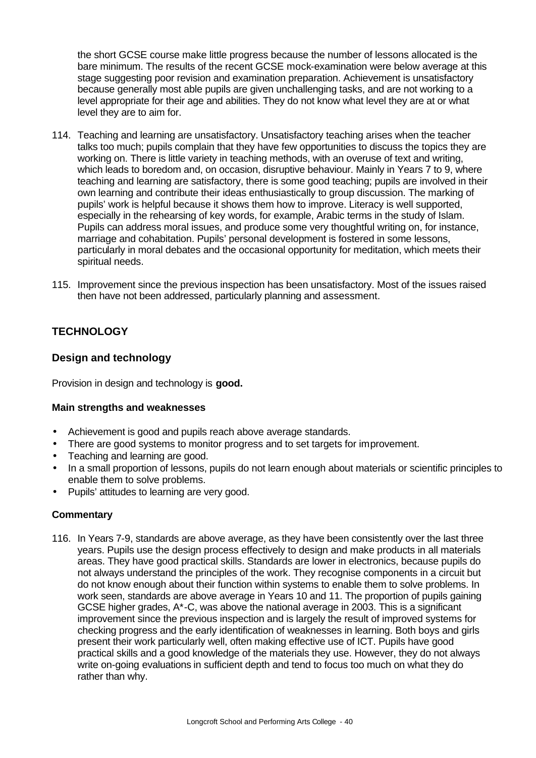the short GCSE course make little progress because the number of lessons allocated is the bare minimum. The results of the recent GCSE mock-examination were below average at this stage suggesting poor revision and examination preparation. Achievement is unsatisfactory because generally most able pupils are given unchallenging tasks, and are not working to a level appropriate for their age and abilities. They do not know what level they are at or what level they are to aim for.

- 114. Teaching and learning are unsatisfactory. Unsatisfactory teaching arises when the teacher talks too much; pupils complain that they have few opportunities to discuss the topics they are working on. There is little variety in teaching methods, with an overuse of text and writing, which leads to boredom and, on occasion, disruptive behaviour. Mainly in Years 7 to 9, where teaching and learning are satisfactory, there is some good teaching; pupils are involved in their own learning and contribute their ideas enthusiastically to group discussion. The marking of pupils' work is helpful because it shows them how to improve. Literacy is well supported, especially in the rehearsing of key words, for example, Arabic terms in the study of Islam. Pupils can address moral issues, and produce some very thoughtful writing on, for instance, marriage and cohabitation. Pupils' personal development is fostered in some lessons, particularly in moral debates and the occasional opportunity for meditation, which meets their spiritual needs.
- 115. Improvement since the previous inspection has been unsatisfactory. Most of the issues raised then have not been addressed, particularly planning and assessment.

# **TECHNOLOGY**

# **Design and technology**

Provision in design and technology is **good.**

#### **Main strengths and weaknesses**

- Achievement is good and pupils reach above average standards.
- There are good systems to monitor progress and to set targets for improvement.
- Teaching and learning are good.
- In a small proportion of lessons, pupils do not learn enough about materials or scientific principles to enable them to solve problems.
- Pupils' attitudes to learning are very good.

#### **Commentary**

116. In Years 7-9, standards are above average, as they have been consistently over the last three years. Pupils use the design process effectively to design and make products in all materials areas. They have good practical skills. Standards are lower in electronics, because pupils do not always understand the principles of the work. They recognise components in a circuit but do not know enough about their function within systems to enable them to solve problems. In work seen, standards are above average in Years 10 and 11. The proportion of pupils gaining GCSE higher grades, A\*-C, was above the national average in 2003. This is a significant improvement since the previous inspection and is largely the result of improved systems for checking progress and the early identification of weaknesses in learning. Both boys and girls present their work particularly well, often making effective use of ICT. Pupils have good practical skills and a good knowledge of the materials they use. However, they do not always write on-going evaluations in sufficient depth and tend to focus too much on what they do rather than why.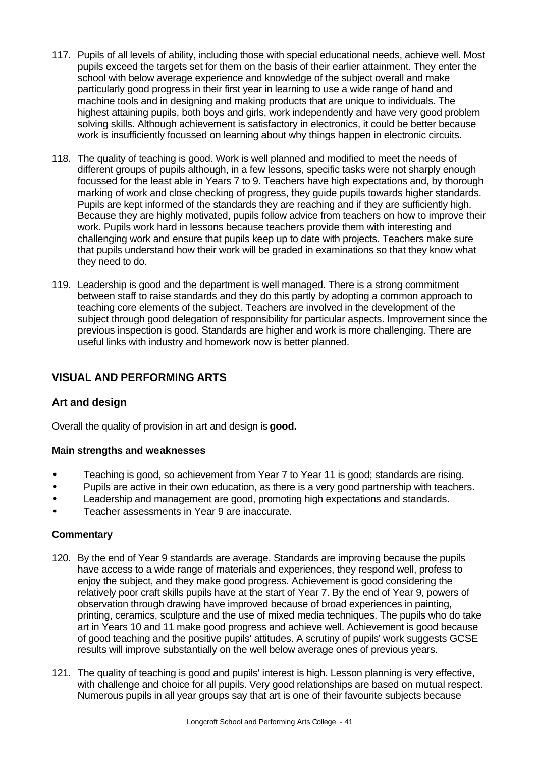- 117. Pupils of all levels of ability, including those with special educational needs, achieve well. Most pupils exceed the targets set for them on the basis of their earlier attainment. They enter the school with below average experience and knowledge of the subject overall and make particularly good progress in their first year in learning to use a wide range of hand and machine tools and in designing and making products that are unique to individuals. The highest attaining pupils, both boys and girls, work independently and have very good problem solving skills. Although achievement is satisfactory in electronics, it could be better because work is insufficiently focussed on learning about why things happen in electronic circuits.
- 118. The quality of teaching is good. Work is well planned and modified to meet the needs of different groups of pupils although, in a few lessons, specific tasks were not sharply enough focussed for the least able in Years 7 to 9. Teachers have high expectations and, by thorough marking of work and close checking of progress, they guide pupils towards higher standards. Pupils are kept informed of the standards they are reaching and if they are sufficiently high. Because they are highly motivated, pupils follow advice from teachers on how to improve their work. Pupils work hard in lessons because teachers provide them with interesting and challenging work and ensure that pupils keep up to date with projects. Teachers make sure that pupils understand how their work will be graded in examinations so that they know what they need to do.
- 119. Leadership is good and the department is well managed. There is a strong commitment between staff to raise standards and they do this partly by adopting a common approach to teaching core elements of the subject. Teachers are involved in the development of the subject through good delegation of responsibility for particular aspects. Improvement since the previous inspection is good. Standards are higher and work is more challenging. There are useful links with industry and homework now is better planned.

# **VISUAL AND PERFORMING ARTS**

# **Art and design**

Overall the quality of provision in art and design is **good.**

#### **Main strengths and weaknesses**

- Teaching is good, so achievement from Year 7 to Year 11 is good; standards are rising.
- Pupils are active in their own education, as there is a very good partnership with teachers.
- Leadership and management are good, promoting high expectations and standards.
- Teacher assessments in Year 9 are inaccurate.

- 120. By the end of Year 9 standards are average. Standards are improving because the pupils have access to a wide range of materials and experiences, they respond well, profess to enjoy the subject, and they make good progress. Achievement is good considering the relatively poor craft skills pupils have at the start of Year 7. By the end of Year 9, powers of observation through drawing have improved because of broad experiences in painting, printing, ceramics, sculpture and the use of mixed media techniques. The pupils who do take art in Years 10 and 11 make good progress and achieve well. Achievement is good because of good teaching and the positive pupils' attitudes. A scrutiny of pupils' work suggests GCSE results will improve substantially on the well below average ones of previous years.
- 121. The quality of teaching is good and pupils' interest is high. Lesson planning is very effective, with challenge and choice for all pupils. Very good relationships are based on mutual respect. Numerous pupils in all year groups say that art is one of their favourite subjects because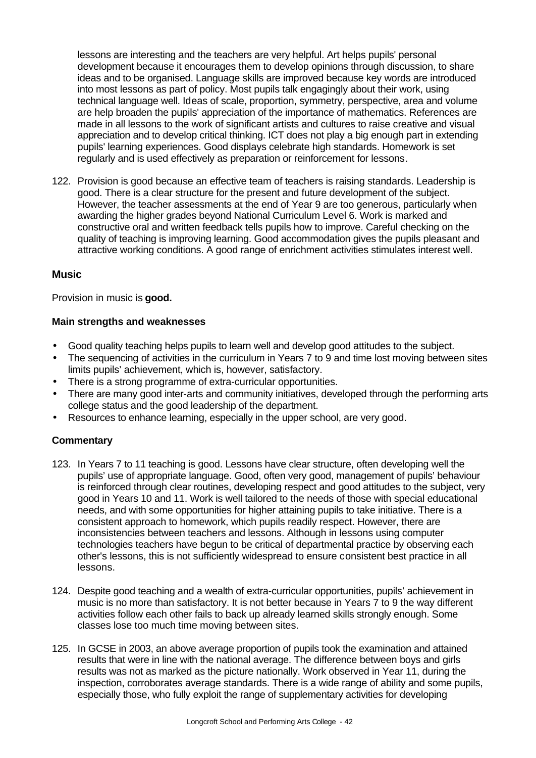lessons are interesting and the teachers are very helpful. Art helps pupils' personal development because it encourages them to develop opinions through discussion, to share ideas and to be organised. Language skills are improved because key words are introduced into most lessons as part of policy. Most pupils talk engagingly about their work, using technical language well. Ideas of scale, proportion, symmetry, perspective, area and volume are help broaden the pupils' appreciation of the importance of mathematics. References are made in all lessons to the work of significant artists and cultures to raise creative and visual appreciation and to develop critical thinking. ICT does not play a big enough part in extending pupils' learning experiences. Good displays celebrate high standards. Homework is set regularly and is used effectively as preparation or reinforcement for lessons.

122. Provision is good because an effective team of teachers is raising standards. Leadership is good. There is a clear structure for the present and future development of the subject. However, the teacher assessments at the end of Year 9 are too generous, particularly when awarding the higher grades beyond National Curriculum Level 6. Work is marked and constructive oral and written feedback tells pupils how to improve. Careful checking on the quality of teaching is improving learning. Good accommodation gives the pupils pleasant and attractive working conditions. A good range of enrichment activities stimulates interest well.

### **Music**

Provision in music is **good.**

#### **Main strengths and weaknesses**

- Good quality teaching helps pupils to learn well and develop good attitudes to the subject.
- The sequencing of activities in the curriculum in Years 7 to 9 and time lost moving between sites limits pupils' achievement, which is, however, satisfactory.
- There is a strong programme of extra-curricular opportunities.
- There are many good inter-arts and community initiatives, developed through the performing arts college status and the good leadership of the department.
- Resources to enhance learning, especially in the upper school, are very good.

- 123. In Years 7 to 11 teaching is good. Lessons have clear structure, often developing well the pupils' use of appropriate language. Good, often very good, management of pupils' behaviour is reinforced through clear routines, developing respect and good attitudes to the subject, very good in Years 10 and 11. Work is well tailored to the needs of those with special educational needs, and with some opportunities for higher attaining pupils to take initiative. There is a consistent approach to homework, which pupils readily respect. However, there are inconsistencies between teachers and lessons. Although in lessons using computer technologies teachers have begun to be critical of departmental practice by observing each other's lessons, this is not sufficiently widespread to ensure consistent best practice in all lessons.
- 124. Despite good teaching and a wealth of extra-curricular opportunities, pupils' achievement in music is no more than satisfactory. It is not better because in Years 7 to 9 the way different activities follow each other fails to back up already learned skills strongly enough. Some classes lose too much time moving between sites.
- 125. In GCSE in 2003, an above average proportion of pupils took the examination and attained results that were in line with the national average. The difference between boys and girls results was not as marked as the picture nationally. Work observed in Year 11, during the inspection, corroborates average standards. There is a wide range of ability and some pupils, especially those, who fully exploit the range of supplementary activities for developing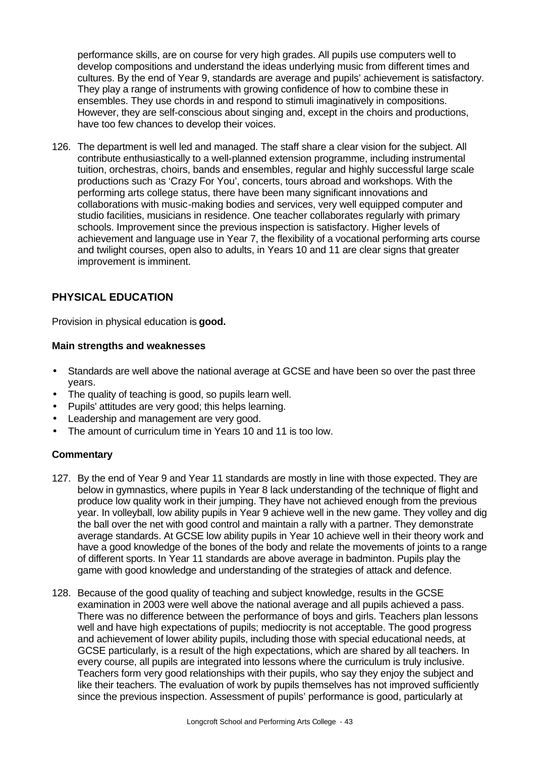performance skills, are on course for very high grades. All pupils use computers well to develop compositions and understand the ideas underlying music from different times and cultures. By the end of Year 9, standards are average and pupils' achievement is satisfactory. They play a range of instruments with growing confidence of how to combine these in ensembles. They use chords in and respond to stimuli imaginatively in compositions. However, they are self-conscious about singing and, except in the choirs and productions, have too few chances to develop their voices.

126. The department is well led and managed. The staff share a clear vision for the subject. All contribute enthusiastically to a well-planned extension programme, including instrumental tuition, orchestras, choirs, bands and ensembles, regular and highly successful large scale productions such as 'Crazy For You', concerts, tours abroad and workshops. With the performing arts college status, there have been many significant innovations and collaborations with music-making bodies and services, very well equipped computer and studio facilities, musicians in residence. One teacher collaborates regularly with primary schools. Improvement since the previous inspection is satisfactory. Higher levels of achievement and language use in Year 7, the flexibility of a vocational performing arts course and twilight courses, open also to adults, in Years 10 and 11 are clear signs that greater improvement is imminent.

# **PHYSICAL EDUCATION**

Provision in physical education is **good.**

#### **Main strengths and weaknesses**

- **·** Standards are well above the national average at GCSE and have been so over the past three years.
- **·** The quality of teaching is good, so pupils learn well.
- **·** Pupils' attitudes are very good; this helps learning.
- **·** Leadership and management are very good.
- **·** The amount of curriculum time in Years 10 and 11 is too low.

- 127. By the end of Year 9 and Year 11 standards are mostly in line with those expected. They are below in gymnastics, where pupils in Year 8 lack understanding of the technique of flight and produce low quality work in their jumping. They have not achieved enough from the previous year. In volleyball, low ability pupils in Year 9 achieve well in the new game. They volley and dig the ball over the net with good control and maintain a rally with a partner. They demonstrate average standards. At GCSE low ability pupils in Year 10 achieve well in their theory work and have a good knowledge of the bones of the body and relate the movements of joints to a range of different sports. In Year 11 standards are above average in badminton. Pupils play the game with good knowledge and understanding of the strategies of attack and defence.
- 128. Because of the good quality of teaching and subject knowledge, results in the GCSE examination in 2003 were well above the national average and all pupils achieved a pass. There was no difference between the performance of boys and girls. Teachers plan lessons well and have high expectations of pupils; mediocrity is not acceptable. The good progress and achievement of lower ability pupils, including those with special educational needs, at GCSE particularly, is a result of the high expectations, which are shared by all teachers. In every course, all pupils are integrated into lessons where the curriculum is truly inclusive. Teachers form very good relationships with their pupils, who say they enjoy the subject and like their teachers. The evaluation of work by pupils themselves has not improved sufficiently since the previous inspection. Assessment of pupils' performance is good, particularly at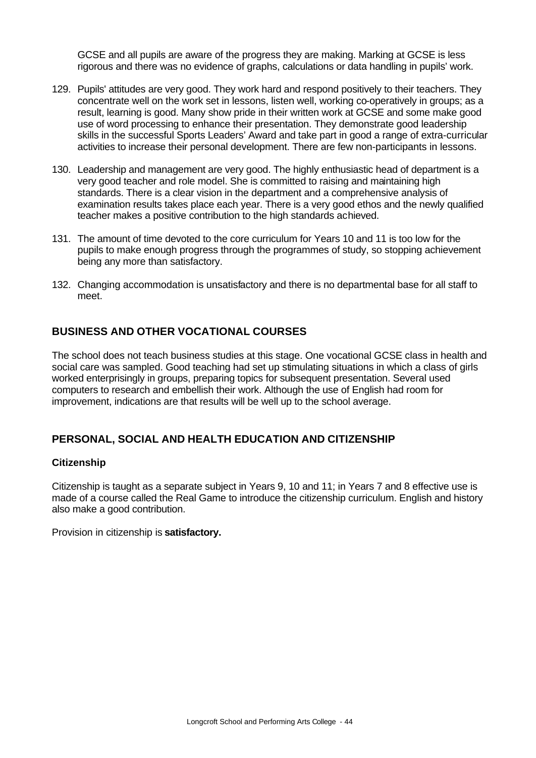GCSE and all pupils are aware of the progress they are making. Marking at GCSE is less rigorous and there was no evidence of graphs, calculations or data handling in pupils' work.

- 129. Pupils' attitudes are very good. They work hard and respond positively to their teachers. They concentrate well on the work set in lessons, listen well, working co-operatively in groups; as a result, learning is good. Many show pride in their written work at GCSE and some make good use of word processing to enhance their presentation. They demonstrate good leadership skills in the successful Sports Leaders' Award and take part in good a range of extra-curricular activities to increase their personal development. There are few non-participants in lessons.
- 130. Leadership and management are very good. The highly enthusiastic head of department is a very good teacher and role model. She is committed to raising and maintaining high standards. There is a clear vision in the department and a comprehensive analysis of examination results takes place each year. There is a very good ethos and the newly qualified teacher makes a positive contribution to the high standards achieved.
- 131. The amount of time devoted to the core curriculum for Years 10 and 11 is too low for the pupils to make enough progress through the programmes of study, so stopping achievement being any more than satisfactory.
- 132. Changing accommodation is unsatisfactory and there is no departmental base for all staff to meet.

# **BUSINESS AND OTHER VOCATIONAL COURSES**

The school does not teach business studies at this stage. One vocational GCSE class in health and social care was sampled. Good teaching had set up stimulating situations in which a class of girls worked enterprisingly in groups, preparing topics for subsequent presentation. Several used computers to research and embellish their work. Although the use of English had room for improvement, indications are that results will be well up to the school average.

# **PERSONAL, SOCIAL AND HEALTH EDUCATION AND CITIZENSHIP**

#### **Citizenship**

Citizenship is taught as a separate subject in Years 9, 10 and 11; in Years 7 and 8 effective use is made of a course called the Real Game to introduce the citizenship curriculum. English and history also make a good contribution.

Provision in citizenship is **satisfactory.**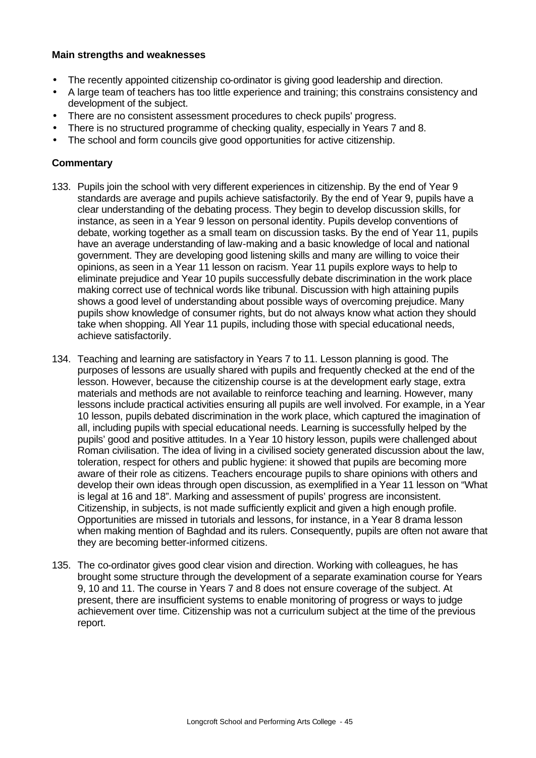#### **Main strengths and weaknesses**

- The recently appointed citizenship co-ordinator is giving good leadership and direction.
- A large team of teachers has too little experience and training; this constrains consistency and development of the subject.
- There are no consistent assessment procedures to check pupils' progress.
- There is no structured programme of checking quality, especially in Years 7 and 8.
- The school and form councils give good opportunities for active citizenship.

- 133. Pupils join the school with very different experiences in citizenship. By the end of Year 9 standards are average and pupils achieve satisfactorily. By the end of Year 9, pupils have a clear understanding of the debating process. They begin to develop discussion skills, for instance, as seen in a Year 9 lesson on personal identity. Pupils develop conventions of debate, working together as a small team on discussion tasks. By the end of Year 11, pupils have an average understanding of law-making and a basic knowledge of local and national government. They are developing good listening skills and many are willing to voice their opinions, as seen in a Year 11 lesson on racism. Year 11 pupils explore ways to help to eliminate prejudice and Year 10 pupils successfully debate discrimination in the work place making correct use of technical words like tribunal. Discussion with high attaining pupils shows a good level of understanding about possible ways of overcoming prejudice. Many pupils show knowledge of consumer rights, but do not always know what action they should take when shopping. All Year 11 pupils, including those with special educational needs, achieve satisfactorily.
- 134. Teaching and learning are satisfactory in Years 7 to 11. Lesson planning is good. The purposes of lessons are usually shared with pupils and frequently checked at the end of the lesson. However, because the citizenship course is at the development early stage, extra materials and methods are not available to reinforce teaching and learning. However, many lessons include practical activities ensuring all pupils are well involved. For example, in a Year 10 lesson, pupils debated discrimination in the work place, which captured the imagination of all, including pupils with special educational needs. Learning is successfully helped by the pupils' good and positive attitudes. In a Year 10 history lesson, pupils were challenged about Roman civilisation. The idea of living in a civilised society generated discussion about the law, toleration, respect for others and public hygiene: it showed that pupils are becoming more aware of their role as citizens. Teachers encourage pupils to share opinions with others and develop their own ideas through open discussion, as exemplified in a Year 11 lesson on "What is legal at 16 and 18". Marking and assessment of pupils' progress are inconsistent. Citizenship, in subjects, is not made sufficiently explicit and given a high enough profile. Opportunities are missed in tutorials and lessons, for instance, in a Year 8 drama lesson when making mention of Baghdad and its rulers. Consequently, pupils are often not aware that they are becoming better-informed citizens.
- 135. The co-ordinator gives good clear vision and direction. Working with colleagues, he has brought some structure through the development of a separate examination course for Years 9, 10 and 11. The course in Years 7 and 8 does not ensure coverage of the subject. At present, there are insufficient systems to enable monitoring of progress or ways to judge achievement over time. Citizenship was not a curriculum subject at the time of the previous report.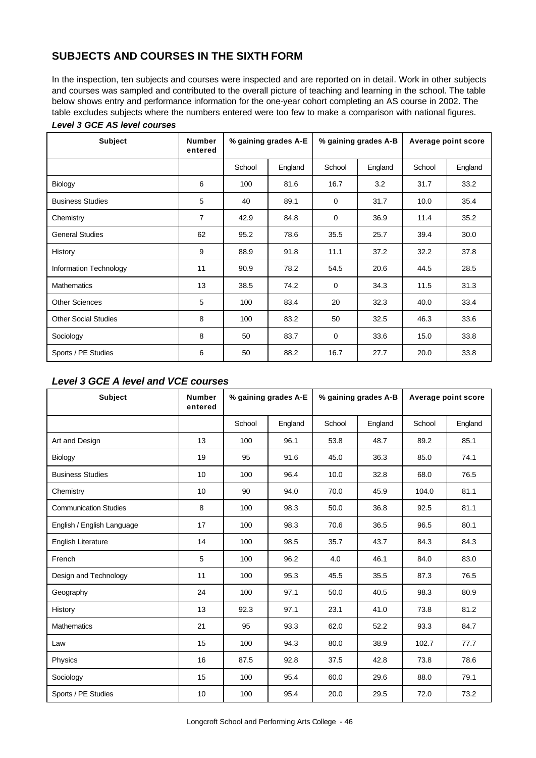# **SUBJECTS AND COURSES IN THE SIXTH FORM**

In the inspection, ten subjects and courses were inspected and are reported on in detail. Work in other subjects and courses was sampled and contributed to the overall picture of teaching and learning in the school. The table below shows entry and performance information for the one-year cohort completing an AS course in 2002. The table excludes subjects where the numbers entered were too few to make a comparison with national figures.

| <b>Subject</b>              | <b>Number</b><br>entered | % gaining grades A-E |         |             |         | % gaining grades A-B |         |  |  | Average point score |  |
|-----------------------------|--------------------------|----------------------|---------|-------------|---------|----------------------|---------|--|--|---------------------|--|
|                             |                          | School               | England | School      | England | School               | England |  |  |                     |  |
| Biology                     | 6                        | 100                  | 81.6    | 16.7        | 3.2     | 31.7                 | 33.2    |  |  |                     |  |
| <b>Business Studies</b>     | 5                        | 40                   | 89.1    | $\Omega$    | 31.7    | 10.0                 | 35.4    |  |  |                     |  |
| Chemistry                   | $\overline{7}$           | 42.9                 | 84.8    | $\mathbf 0$ | 36.9    | 11.4                 | 35.2    |  |  |                     |  |
| <b>General Studies</b>      | 62                       | 95.2                 | 78.6    | 35.5        | 25.7    | 39.4                 | 30.0    |  |  |                     |  |
| History                     | 9                        | 88.9                 | 91.8    | 11.1        | 37.2    | 32.2                 | 37.8    |  |  |                     |  |
| Information Technology      | 11                       | 90.9                 | 78.2    | 54.5        | 20.6    | 44.5                 | 28.5    |  |  |                     |  |
| <b>Mathematics</b>          | 13                       | 38.5                 | 74.2    | $\Omega$    | 34.3    | 11.5                 | 31.3    |  |  |                     |  |
| <b>Other Sciences</b>       | 5                        | 100                  | 83.4    | 20          | 32.3    | 40.0                 | 33.4    |  |  |                     |  |
| <b>Other Social Studies</b> | 8                        | 100                  | 83.2    | 50          | 32.5    | 46.3                 | 33.6    |  |  |                     |  |
| Sociology                   | 8                        | 50                   | 83.7    | $\mathbf 0$ | 33.6    | 15.0                 | 33.8    |  |  |                     |  |
| Sports / PE Studies         | 6                        | 50                   | 88.2    | 16.7        | 27.7    | 20.0                 | 33.8    |  |  |                     |  |

#### *Level 3 GCE AS level courses*

# *Level 3 GCE A level and VCE courses*

| <b>Subject</b>               | <b>Number</b><br>entered | % gaining grades A-E |         |        |         | % gaining grades A-B |         |  | Average point score |
|------------------------------|--------------------------|----------------------|---------|--------|---------|----------------------|---------|--|---------------------|
|                              |                          | School               | England | School | England | School               | England |  |                     |
| Art and Design               | 13                       | 100                  | 96.1    | 53.8   | 48.7    | 89.2                 | 85.1    |  |                     |
| Biology                      | 19                       | 95                   | 91.6    | 45.0   | 36.3    | 85.0                 | 74.1    |  |                     |
| <b>Business Studies</b>      | 10                       | 100                  | 96.4    | 10.0   | 32.8    | 68.0                 | 76.5    |  |                     |
| Chemistry                    | 10                       | 90                   | 94.0    | 70.0   | 45.9    | 104.0                | 81.1    |  |                     |
| <b>Communication Studies</b> | 8                        | 100                  | 98.3    | 50.0   | 36.8    | 92.5                 | 81.1    |  |                     |
| English / English Language   | 17                       | 100                  | 98.3    | 70.6   | 36.5    | 96.5                 | 80.1    |  |                     |
| English Literature           | 14                       | 100                  | 98.5    | 35.7   | 43.7    | 84.3                 | 84.3    |  |                     |
| French                       | 5                        | 100                  | 96.2    | 4.0    | 46.1    | 84.0                 | 83.0    |  |                     |
| Design and Technology        | 11                       | 100                  | 95.3    | 45.5   | 35.5    | 87.3                 | 76.5    |  |                     |
| Geography                    | 24                       | 100                  | 97.1    | 50.0   | 40.5    | 98.3                 | 80.9    |  |                     |
| History                      | 13                       | 92.3                 | 97.1    | 23.1   | 41.0    | 73.8                 | 81.2    |  |                     |
| <b>Mathematics</b>           | 21                       | 95                   | 93.3    | 62.0   | 52.2    | 93.3                 | 84.7    |  |                     |
| Law                          | 15                       | 100                  | 94.3    | 80.0   | 38.9    | 102.7                | 77.7    |  |                     |
| Physics                      | 16                       | 87.5                 | 92.8    | 37.5   | 42.8    | 73.8                 | 78.6    |  |                     |
| Sociology                    | 15                       | 100                  | 95.4    | 60.0   | 29.6    | 88.0                 | 79.1    |  |                     |
| Sports / PE Studies          | 10                       | 100                  | 95.4    | 20.0   | 29.5    | 72.0                 | 73.2    |  |                     |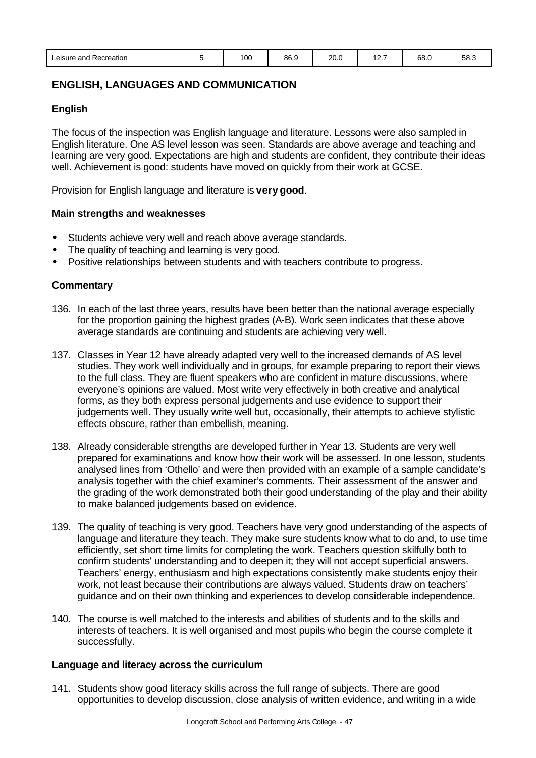| . | Leisure and Recreation |  | 100 | 86.9 | 20.0 | $40 -$ | 68.0 | $ \sim$<br>58.3 |
|---|------------------------|--|-----|------|------|--------|------|-----------------|
|---|------------------------|--|-----|------|------|--------|------|-----------------|

### **ENGLISH, LANGUAGES AND COMMUNICATION**

#### **English**

The focus of the inspection was English language and literature. Lessons were also sampled in English literature. One AS level lesson was seen. Standards are above average and teaching and learning are very good. Expectations are high and students are confident, they contribute their ideas well. Achievement is good: students have moved on quickly from their work at GCSE.

Provision for English language and literature is **very good**.

#### **Main strengths and weaknesses**

- Students achieve very well and reach above average standards.
- The quality of teaching and learning is very good.
- Positive relationships between students and with teachers contribute to progress.

#### **Commentary**

- 136. In each of the last three years, results have been better than the national average especially for the proportion gaining the highest grades (A-B). Work seen indicates that these above average standards are continuing and students are achieving very well.
- 137. Classes in Year 12 have already adapted very well to the increased demands of AS level studies. They work well individually and in groups, for example preparing to report their views to the full class. They are fluent speakers who are confident in mature discussions, where everyone's opinions are valued. Most write very effectively in both creative and analytical forms, as they both express personal judgements and use evidence to support their judgements well. They usually write well but, occasionally, their attempts to achieve stylistic effects obscure, rather than embellish, meaning.
- 138. Already considerable strengths are developed further in Year 13. Students are very well prepared for examinations and know how their work will be assessed. In one lesson, students analysed lines from 'Othello' and were then provided with an example of a sample candidate's analysis together with the chief examiner's comments. Their assessment of the answer and the grading of the work demonstrated both their good understanding of the play and their ability to make balanced judgements based on evidence.
- 139. The quality of teaching is very good. Teachers have very good understanding of the aspects of language and literature they teach. They make sure students know what to do and, to use time efficiently, set short time limits for completing the work. Teachers question skilfully both to confirm students' understanding and to deepen it; they will not accept superficial answers. Teachers' energy, enthusiasm and high expectations consistently make students enjoy their work, not least because their contributions are always valued. Students draw on teachers' guidance and on their own thinking and experiences to develop considerable independence.
- 140. The course is well matched to the interests and abilities of students and to the skills and interests of teachers. It is well organised and most pupils who begin the course complete it successfully.

#### **Language and literacy across the curriculum**

141. Students show good literacy skills across the full range of subjects. There are good opportunities to develop discussion, close analysis of written evidence, and writing in a wide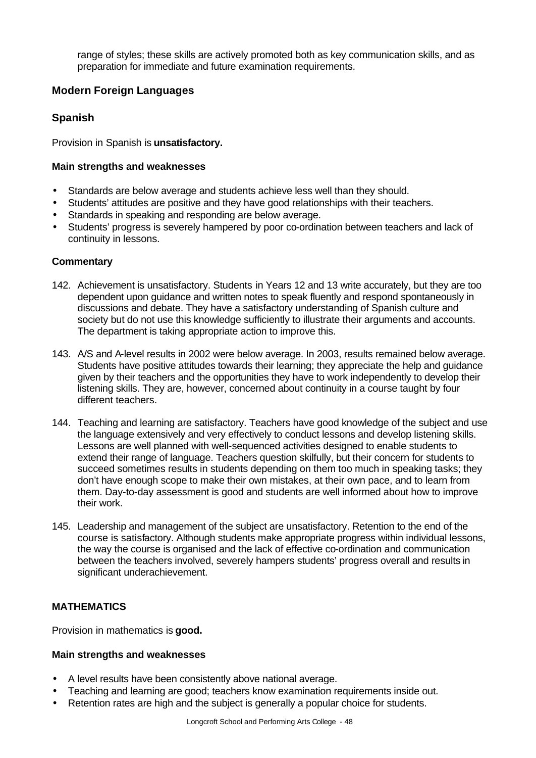range of styles; these skills are actively promoted both as key communication skills, and as preparation for immediate and future examination requirements.

# **Modern Foreign Languages**

# **Spanish**

Provision in Spanish is **unsatisfactory.**

### **Main strengths and weaknesses**

- Standards are below average and students achieve less well than they should.
- Students' attitudes are positive and they have good relationships with their teachers.
- Standards in speaking and responding are below average.
- Students' progress is severely hampered by poor co-ordination between teachers and lack of continuity in lessons.

### **Commentary**

- 142. Achievement is unsatisfactory. Students in Years 12 and 13 write accurately, but they are too dependent upon guidance and written notes to speak fluently and respond spontaneously in discussions and debate. They have a satisfactory understanding of Spanish culture and society but do not use this knowledge sufficiently to illustrate their arguments and accounts. The department is taking appropriate action to improve this.
- 143. A/S and A-level results in 2002 were below average. In 2003, results remained below average. Students have positive attitudes towards their learning; they appreciate the help and guidance given by their teachers and the opportunities they have to work independently to develop their listening skills. They are, however, concerned about continuity in a course taught by four different teachers.
- 144. Teaching and learning are satisfactory. Teachers have good knowledge of the subject and use the language extensively and very effectively to conduct lessons and develop listening skills. Lessons are well planned with well-sequenced activities designed to enable students to extend their range of language. Teachers question skilfully, but their concern for students to succeed sometimes results in students depending on them too much in speaking tasks; they don't have enough scope to make their own mistakes, at their own pace, and to learn from them. Day-to-day assessment is good and students are well informed about how to improve their work.
- 145. Leadership and management of the subject are unsatisfactory. Retention to the end of the course is satisfactory. Although students make appropriate progress within individual lessons, the way the course is organised and the lack of effective co-ordination and communication between the teachers involved, severely hampers students' progress overall and results in significant underachievement.

# **MATHEMATICS**

Provision in mathematics is **good.**

#### **Main strengths and weaknesses**

- A level results have been consistently above national average.
- Teaching and learning are good; teachers know examination requirements inside out.
- Retention rates are high and the subject is generally a popular choice for students.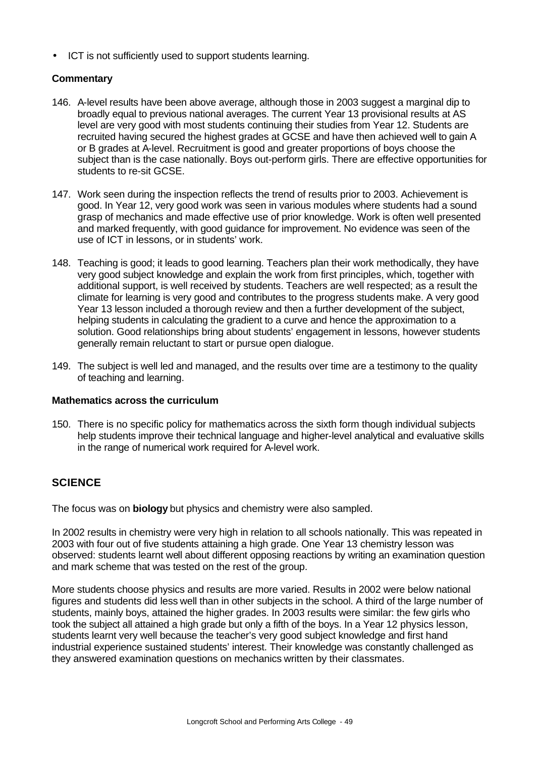• ICT is not sufficiently used to support students learning.

#### **Commentary**

- 146. A-level results have been above average, although those in 2003 suggest a marginal dip to broadly equal to previous national averages. The current Year 13 provisional results at AS level are very good with most students continuing their studies from Year 12. Students are recruited having secured the highest grades at GCSE and have then achieved well to gain A or B grades at A-level. Recruitment is good and greater proportions of boys choose the subject than is the case nationally. Boys out-perform girls. There are effective opportunities for students to re-sit GCSE.
- 147. Work seen during the inspection reflects the trend of results prior to 2003. Achievement is good. In Year 12, very good work was seen in various modules where students had a sound grasp of mechanics and made effective use of prior knowledge. Work is often well presented and marked frequently, with good guidance for improvement. No evidence was seen of the use of ICT in lessons, or in students' work.
- 148. Teaching is good; it leads to good learning. Teachers plan their work methodically, they have very good subject knowledge and explain the work from first principles, which, together with additional support, is well received by students. Teachers are well respected; as a result the climate for learning is very good and contributes to the progress students make. A very good Year 13 lesson included a thorough review and then a further development of the subject, helping students in calculating the gradient to a curve and hence the approximation to a solution. Good relationships bring about students' engagement in lessons, however students generally remain reluctant to start or pursue open dialogue.
- 149. The subject is well led and managed, and the results over time are a testimony to the quality of teaching and learning.

#### **Mathematics across the curriculum**

150. There is no specific policy for mathematics across the sixth form though individual subjects help students improve their technical language and higher-level analytical and evaluative skills in the range of numerical work required for A-level work.

# **SCIENCE**

The focus was on **biology** but physics and chemistry were also sampled.

In 2002 results in chemistry were very high in relation to all schools nationally. This was repeated in 2003 with four out of five students attaining a high grade. One Year 13 chemistry lesson was observed: students learnt well about different opposing reactions by writing an examination question and mark scheme that was tested on the rest of the group.

More students choose physics and results are more varied. Results in 2002 were below national figures and students did less well than in other subjects in the school. A third of the large number of students, mainly boys, attained the higher grades. In 2003 results were similar: the few girls who took the subject all attained a high grade but only a fifth of the boys. In a Year 12 physics lesson, students learnt very well because the teacher's very good subject knowledge and first hand industrial experience sustained students' interest. Their knowledge was constantly challenged as they answered examination questions on mechanics written by their classmates.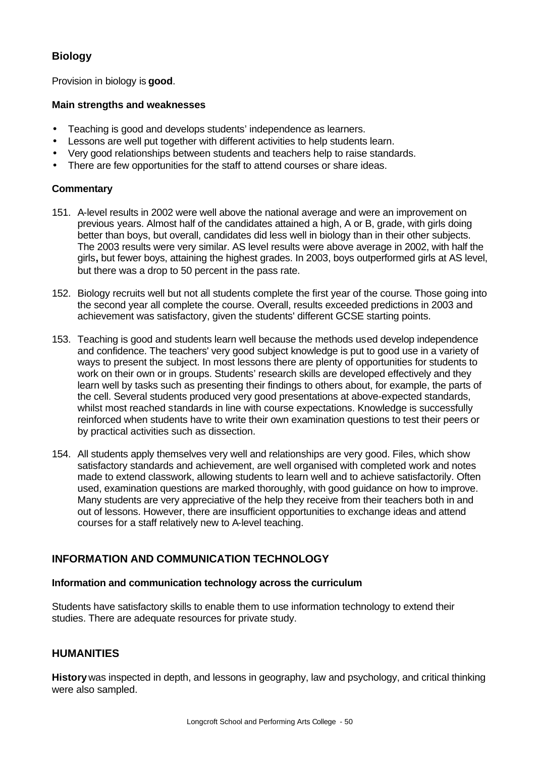# **Biology**

Provision in biology is **good**.

### **Main strengths and weaknesses**

- Teaching is good and develops students' independence as learners.
- Lessons are well put together with different activities to help students learn.
- Very good relationships between students and teachers help to raise standards.
- There are few opportunities for the staff to attend courses or share ideas.

### **Commentary**

- 151. A-level results in 2002 were well above the national average and were an improvement on previous years. Almost half of the candidates attained a high, A or B, grade, with girls doing better than boys, but overall, candidates did less well in biology than in their other subjects. The 2003 results were very similar. AS level results were above average in 2002, with half the girls**,** but fewer boys, attaining the highest grades. In 2003, boys outperformed girls at AS level, but there was a drop to 50 percent in the pass rate.
- 152. Biology recruits well but not all students complete the first year of the course. Those going into the second year all complete the course. Overall, results exceeded predictions in 2003 and achievement was satisfactory, given the students' different GCSE starting points.
- 153. Teaching is good and students learn well because the methods used develop independence and confidence. The teachers' very good subject knowledge is put to good use in a variety of ways to present the subject. In most lessons there are plenty of opportunities for students to work on their own or in groups. Students' research skills are developed effectively and they learn well by tasks such as presenting their findings to others about, for example, the parts of the cell. Several students produced very good presentations at above-expected standards, whilst most reached standards in line with course expectations. Knowledge is successfully reinforced when students have to write their own examination questions to test their peers or by practical activities such as dissection.
- 154. All students apply themselves very well and relationships are very good. Files, which show satisfactory standards and achievement, are well organised with completed work and notes made to extend classwork, allowing students to learn well and to achieve satisfactorily. Often used, examination questions are marked thoroughly, with good guidance on how to improve. Many students are very appreciative of the help they receive from their teachers both in and out of lessons. However, there are insufficient opportunities to exchange ideas and attend courses for a staff relatively new to A-level teaching.

# **INFORMATION AND COMMUNICATION TECHNOLOGY**

#### **Information and communication technology across the curriculum**

Students have satisfactory skills to enable them to use information technology to extend their studies. There are adequate resources for private study.

# **HUMANITIES**

**History** was inspected in depth, and lessons in geography, law and psychology, and critical thinking were also sampled.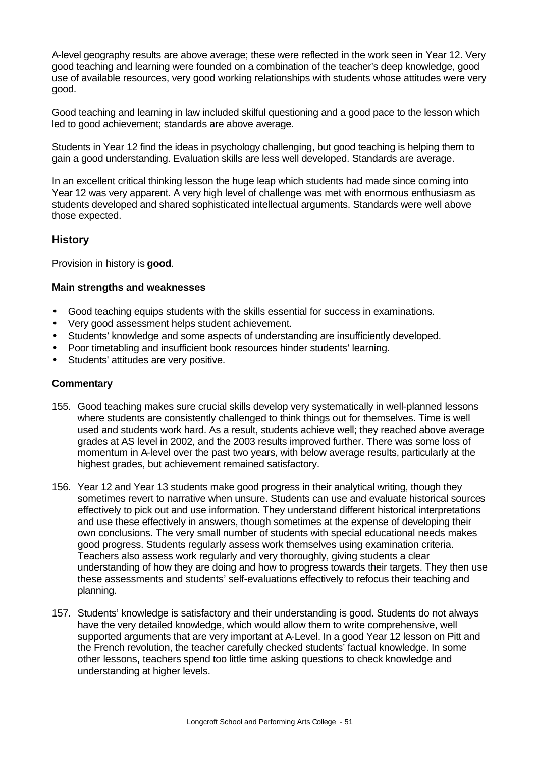A-level geography results are above average; these were reflected in the work seen in Year 12. Very good teaching and learning were founded on a combination of the teacher's deep knowledge, good use of available resources, very good working relationships with students whose attitudes were very good.

Good teaching and learning in law included skilful questioning and a good pace to the lesson which led to good achievement; standards are above average.

Students in Year 12 find the ideas in psychology challenging, but good teaching is helping them to gain a good understanding. Evaluation skills are less well developed. Standards are average.

In an excellent critical thinking lesson the huge leap which students had made since coming into Year 12 was very apparent. A very high level of challenge was met with enormous enthusiasm as students developed and shared sophisticated intellectual arguments. Standards were well above those expected.

# **History**

Provision in history is **good**.

#### **Main strengths and weaknesses**

- Good teaching equips students with the skills essential for success in examinations.
- Very good assessment helps student achievement.
- Students' knowledge and some aspects of understanding are insufficiently developed.
- Poor timetabling and insufficient book resources hinder students' learning.
- Students' attitudes are very positive.

- 155. Good teaching makes sure crucial skills develop very systematically in well-planned lessons where students are consistently challenged to think things out for themselves. Time is well used and students work hard. As a result, students achieve well; they reached above average grades at AS level in 2002, and the 2003 results improved further. There was some loss of momentum in A-level over the past two years, with below average results, particularly at the highest grades, but achievement remained satisfactory.
- 156. Year 12 and Year 13 students make good progress in their analytical writing, though they sometimes revert to narrative when unsure. Students can use and evaluate historical sources effectively to pick out and use information. They understand different historical interpretations and use these effectively in answers, though sometimes at the expense of developing their own conclusions. The very small number of students with special educational needs makes good progress. Students regularly assess work themselves using examination criteria. Teachers also assess work regularly and very thoroughly, giving students a clear understanding of how they are doing and how to progress towards their targets. They then use these assessments and students' self-evaluations effectively to refocus their teaching and planning.
- 157. Students' knowledge is satisfactory and their understanding is good. Students do not always have the very detailed knowledge, which would allow them to write comprehensive, well supported arguments that are very important at A-Level. In a good Year 12 lesson on Pitt and the French revolution, the teacher carefully checked students' factual knowledge. In some other lessons, teachers spend too little time asking questions to check knowledge and understanding at higher levels.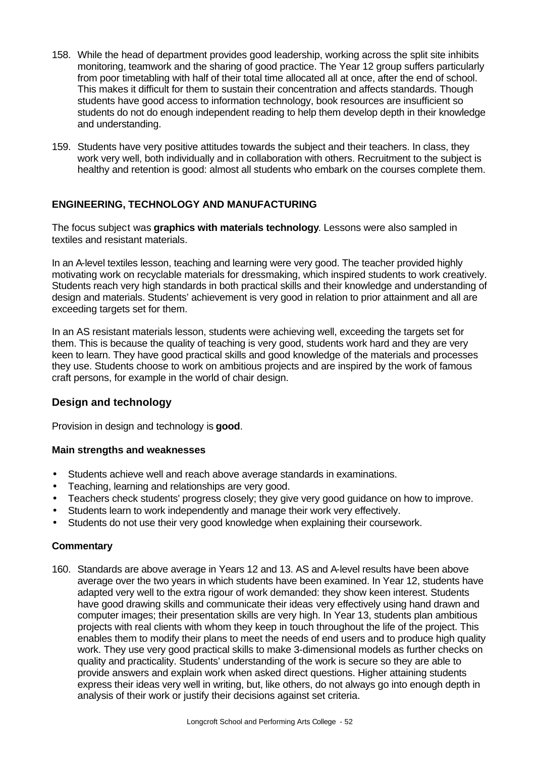- 158. While the head of department provides good leadership, working across the split site inhibits monitoring, teamwork and the sharing of good practice. The Year 12 group suffers particularly from poor timetabling with half of their total time allocated all at once, after the end of school. This makes it difficult for them to sustain their concentration and affects standards. Though students have good access to information technology, book resources are insufficient so students do not do enough independent reading to help them develop depth in their knowledge and understanding.
- 159. Students have very positive attitudes towards the subject and their teachers. In class, they work very well, both individually and in collaboration with others. Recruitment to the subject is healthy and retention is good: almost all students who embark on the courses complete them.

# **ENGINEERING, TECHNOLOGY AND MANUFACTURING**

The focus subject was **graphics with materials technology**. Lessons were also sampled in textiles and resistant materials.

In an A-level textiles lesson, teaching and learning were very good. The teacher provided highly motivating work on recyclable materials for dressmaking, which inspired students to work creatively. Students reach very high standards in both practical skills and their knowledge and understanding of design and materials. Students' achievement is very good in relation to prior attainment and all are exceeding targets set for them.

In an AS resistant materials lesson, students were achieving well, exceeding the targets set for them. This is because the quality of teaching is very good, students work hard and they are very keen to learn. They have good practical skills and good knowledge of the materials and processes they use. Students choose to work on ambitious projects and are inspired by the work of famous craft persons, for example in the world of chair design.

# **Design and technology**

Provision in design and technology is **good**.

# **Main strengths and weaknesses**

- Students achieve well and reach above average standards in examinations.
- Teaching, learning and relationships are very good.
- Teachers check students' progress closely; they give very good guidance on how to improve.
- Students learn to work independently and manage their work very effectively.
- Students do not use their very good knowledge when explaining their coursework.

# **Commentary**

160. Standards are above average in Years 12 and 13. AS and A-level results have been above average over the two years in which students have been examined. In Year 12, students have adapted very well to the extra rigour of work demanded: they show keen interest. Students have good drawing skills and communicate their ideas very effectively using hand drawn and computer images; their presentation skills are very high. In Year 13, students plan ambitious projects with real clients with whom they keep in touch throughout the life of the project. This enables them to modify their plans to meet the needs of end users and to produce high quality work. They use very good practical skills to make 3-dimensional models as further checks on quality and practicality. Students' understanding of the work is secure so they are able to provide answers and explain work when asked direct questions. Higher attaining students express their ideas very well in writing, but, like others, do not always go into enough depth in analysis of their work or justify their decisions against set criteria.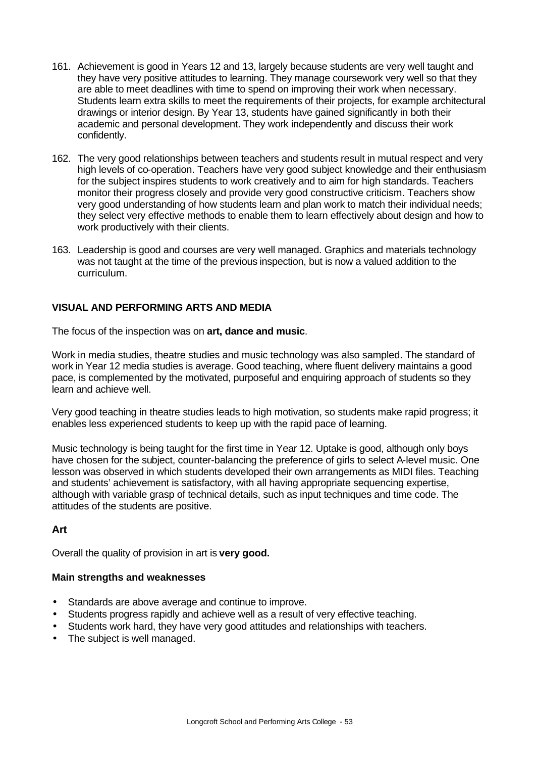- 161. Achievement is good in Years 12 and 13, largely because students are very well taught and they have very positive attitudes to learning. They manage coursework very well so that they are able to meet deadlines with time to spend on improving their work when necessary. Students learn extra skills to meet the requirements of their projects, for example architectural drawings or interior design. By Year 13, students have gained significantly in both their academic and personal development. They work independently and discuss their work confidently.
- 162. The very good relationships between teachers and students result in mutual respect and very high levels of co-operation. Teachers have very good subject knowledge and their enthusiasm for the subject inspires students to work creatively and to aim for high standards. Teachers monitor their progress closely and provide very good constructive criticism. Teachers show very good understanding of how students learn and plan work to match their individual needs; they select very effective methods to enable them to learn effectively about design and how to work productively with their clients.
- 163. Leadership is good and courses are very well managed. Graphics and materials technology was not taught at the time of the previous inspection, but is now a valued addition to the curriculum.

### **VISUAL AND PERFORMING ARTS AND MEDIA**

The focus of the inspection was on **art, dance and music**.

Work in media studies, theatre studies and music technology was also sampled. The standard of work in Year 12 media studies is average. Good teaching, where fluent delivery maintains a good pace, is complemented by the motivated, purposeful and enquiring approach of students so they learn and achieve well.

Very good teaching in theatre studies leads to high motivation, so students make rapid progress; it enables less experienced students to keep up with the rapid pace of learning.

Music technology is being taught for the first time in Year 12. Uptake is good, although only boys have chosen for the subject, counter-balancing the preference of girls to select A-level music. One lesson was observed in which students developed their own arrangements as MIDI files. Teaching and students' achievement is satisfactory, with all having appropriate sequencing expertise, although with variable grasp of technical details, such as input techniques and time code. The attitudes of the students are positive.

# **Art**

Overall the quality of provision in art is **very good.**

#### **Main strengths and weaknesses**

- Standards are above average and continue to improve.
- Students progress rapidly and achieve well as a result of very effective teaching.
- Students work hard, they have very good attitudes and relationships with teachers.
- The subject is well managed.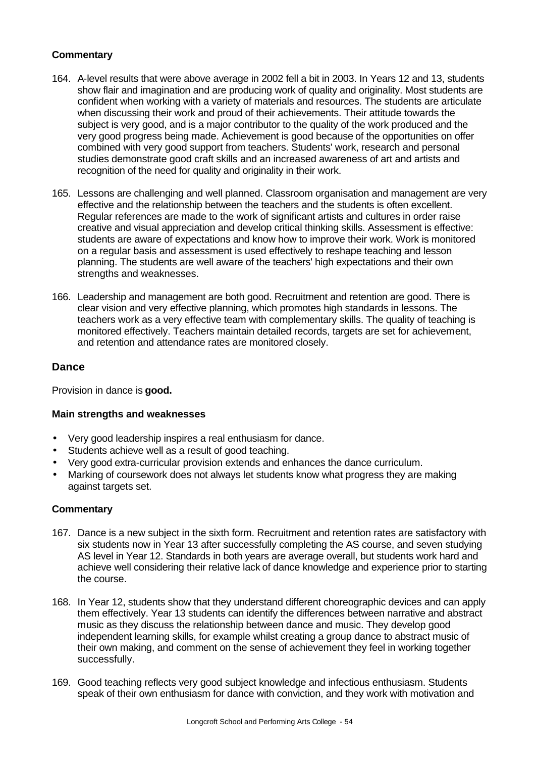### **Commentary**

- 164. A-level results that were above average in 2002 fell a bit in 2003. In Years 12 and 13, students show flair and imagination and are producing work of quality and originality. Most students are confident when working with a variety of materials and resources. The students are articulate when discussing their work and proud of their achievements. Their attitude towards the subject is very good, and is a major contributor to the quality of the work produced and the very good progress being made. Achievement is good because of the opportunities on offer combined with very good support from teachers. Students' work, research and personal studies demonstrate good craft skills and an increased awareness of art and artists and recognition of the need for quality and originality in their work.
- 165. Lessons are challenging and well planned. Classroom organisation and management are very effective and the relationship between the teachers and the students is often excellent. Regular references are made to the work of significant artists and cultures in order raise creative and visual appreciation and develop critical thinking skills. Assessment is effective: students are aware of expectations and know how to improve their work. Work is monitored on a regular basis and assessment is used effectively to reshape teaching and lesson planning. The students are well aware of the teachers' high expectations and their own strengths and weaknesses.
- 166. Leadership and management are both good. Recruitment and retention are good. There is clear vision and very effective planning, which promotes high standards in lessons. The teachers work as a very effective team with complementary skills. The quality of teaching is monitored effectively. Teachers maintain detailed records, targets are set for achievement, and retention and attendance rates are monitored closely.

### **Dance**

Provision in dance is **good.**

#### **Main strengths and weaknesses**

- Very good leadership inspires a real enthusiasm for dance.
- Students achieve well as a result of good teaching.
- Very good extra-curricular provision extends and enhances the dance curriculum.
- Marking of coursework does not always let students know what progress they are making against targets set.

- 167. Dance is a new subject in the sixth form. Recruitment and retention rates are satisfactory with six students now in Year 13 after successfully completing the AS course, and seven studying AS level in Year 12. Standards in both years are average overall, but students work hard and achieve well considering their relative lack of dance knowledge and experience prior to starting the course.
- 168. In Year 12, students show that they understand different choreographic devices and can apply them effectively. Year 13 students can identify the differences between narrative and abstract music as they discuss the relationship between dance and music. They develop good independent learning skills, for example whilst creating a group dance to abstract music of their own making, and comment on the sense of achievement they feel in working together successfully.
- 169. Good teaching reflects very good subject knowledge and infectious enthusiasm. Students speak of their own enthusiasm for dance with conviction, and they work with motivation and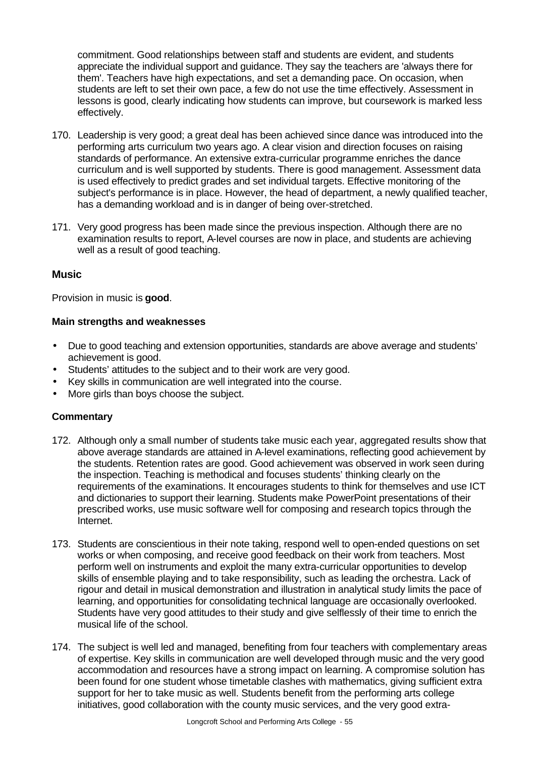commitment. Good relationships between staff and students are evident, and students appreciate the individual support and guidance. They say the teachers are 'always there for them'. Teachers have high expectations, and set a demanding pace. On occasion, when students are left to set their own pace, a few do not use the time effectively. Assessment in lessons is good, clearly indicating how students can improve, but coursework is marked less effectively.

- 170. Leadership is very good; a great deal has been achieved since dance was introduced into the performing arts curriculum two years ago. A clear vision and direction focuses on raising standards of performance. An extensive extra-curricular programme enriches the dance curriculum and is well supported by students. There is good management. Assessment data is used effectively to predict grades and set individual targets. Effective monitoring of the subject's performance is in place. However, the head of department, a newly qualified teacher, has a demanding workload and is in danger of being over-stretched.
- 171. Very good progress has been made since the previous inspection. Although there are no examination results to report, A-level courses are now in place, and students are achieving well as a result of good teaching.

### **Music**

Provision in music is **good**.

#### **Main strengths and weaknesses**

- Due to good teaching and extension opportunities, standards are above average and students' achievement is good.
- Students' attitudes to the subject and to their work are very good.
- Key skills in communication are well integrated into the course.
- More girls than boys choose the subject.

- 172. Although only a small number of students take music each year, aggregated results show that above average standards are attained in A-level examinations, reflecting good achievement by the students. Retention rates are good. Good achievement was observed in work seen during the inspection. Teaching is methodical and focuses students' thinking clearly on the requirements of the examinations. It encourages students to think for themselves and use ICT and dictionaries to support their learning. Students make PowerPoint presentations of their prescribed works, use music software well for composing and research topics through the Internet.
- 173. Students are conscientious in their note taking, respond well to open-ended questions on set works or when composing, and receive good feedback on their work from teachers. Most perform well on instruments and exploit the many extra-curricular opportunities to develop skills of ensemble playing and to take responsibility, such as leading the orchestra. Lack of rigour and detail in musical demonstration and illustration in analytical study limits the pace of learning, and opportunities for consolidating technical language are occasionally overlooked. Students have very good attitudes to their study and give selflessly of their time to enrich the musical life of the school.
- 174. The subject is well led and managed, benefiting from four teachers with complementary areas of expertise. Key skills in communication are well developed through music and the very good accommodation and resources have a strong impact on learning. A compromise solution has been found for one student whose timetable clashes with mathematics, giving sufficient extra support for her to take music as well. Students benefit from the performing arts college initiatives, good collaboration with the county music services, and the very good extra-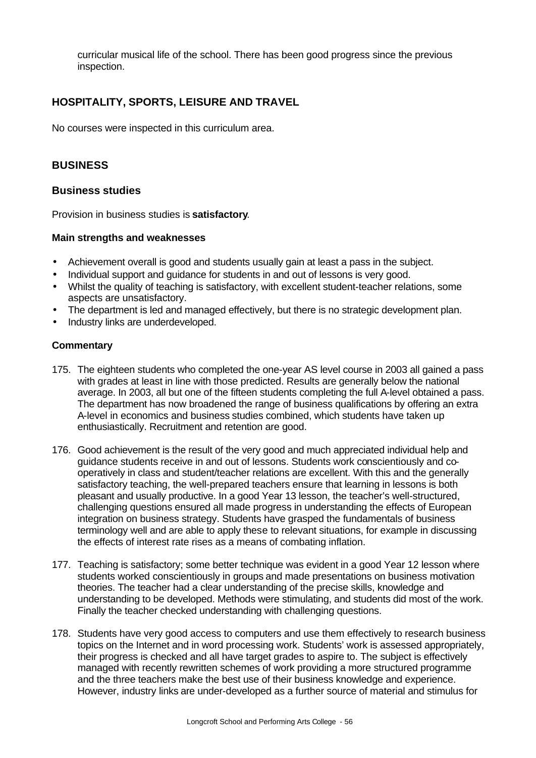curricular musical life of the school. There has been good progress since the previous inspection.

# **HOSPITALITY, SPORTS, LEISURE AND TRAVEL**

No courses were inspected in this curriculum area.

# **BUSINESS**

#### **Business studies**

Provision in business studies is **satisfactory**.

#### **Main strengths and weaknesses**

- Achievement overall is good and students usually gain at least a pass in the subject.
- Individual support and guidance for students in and out of lessons is very good.
- Whilst the quality of teaching is satisfactory, with excellent student-teacher relations, some aspects are unsatisfactory.
- The department is led and managed effectively, but there is no strategic development plan.
- Industry links are underdeveloped.

- 175. The eighteen students who completed the one-year AS level course in 2003 all gained a pass with grades at least in line with those predicted. Results are generally below the national average. In 2003, all but one of the fifteen students completing the full A-level obtained a pass. The department has now broadened the range of business qualifications by offering an extra A-level in economics and business studies combined, which students have taken up enthusiastically. Recruitment and retention are good.
- 176. Good achievement is the result of the very good and much appreciated individual help and guidance students receive in and out of lessons. Students work conscientiously and cooperatively in class and student/teacher relations are excellent. With this and the generally satisfactory teaching, the well-prepared teachers ensure that learning in lessons is both pleasant and usually productive. In a good Year 13 lesson, the teacher's well-structured, challenging questions ensured all made progress in understanding the effects of European integration on business strategy. Students have grasped the fundamentals of business terminology well and are able to apply these to relevant situations, for example in discussing the effects of interest rate rises as a means of combating inflation.
- 177. Teaching is satisfactory; some better technique was evident in a good Year 12 lesson where students worked conscientiously in groups and made presentations on business motivation theories. The teacher had a clear understanding of the precise skills, knowledge and understanding to be developed. Methods were stimulating, and students did most of the work. Finally the teacher checked understanding with challenging questions.
- 178. Students have very good access to computers and use them effectively to research business topics on the Internet and in word processing work. Students' work is assessed appropriately, their progress is checked and all have target grades to aspire to. The subject is effectively managed with recently rewritten schemes of work providing a more structured programme and the three teachers make the best use of their business knowledge and experience. However, industry links are under-developed as a further source of material and stimulus for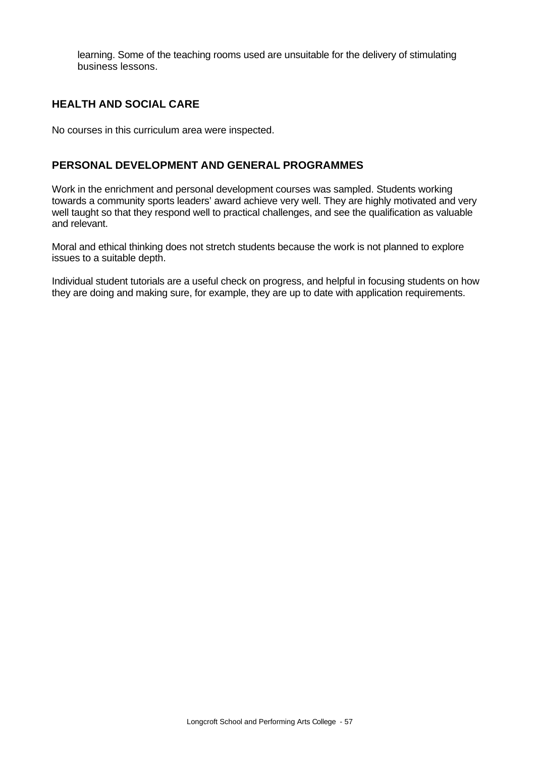learning. Some of the teaching rooms used are unsuitable for the delivery of stimulating business lessons.

# **HEALTH AND SOCIAL CARE**

No courses in this curriculum area were inspected.

# **PERSONAL DEVELOPMENT AND GENERAL PROGRAMMES**

Work in the enrichment and personal development courses was sampled. Students working towards a community sports leaders' award achieve very well. They are highly motivated and very well taught so that they respond well to practical challenges, and see the qualification as valuable and relevant.

Moral and ethical thinking does not stretch students because the work is not planned to explore issues to a suitable depth.

Individual student tutorials are a useful check on progress, and helpful in focusing students on how they are doing and making sure, for example, they are up to date with application requirements.